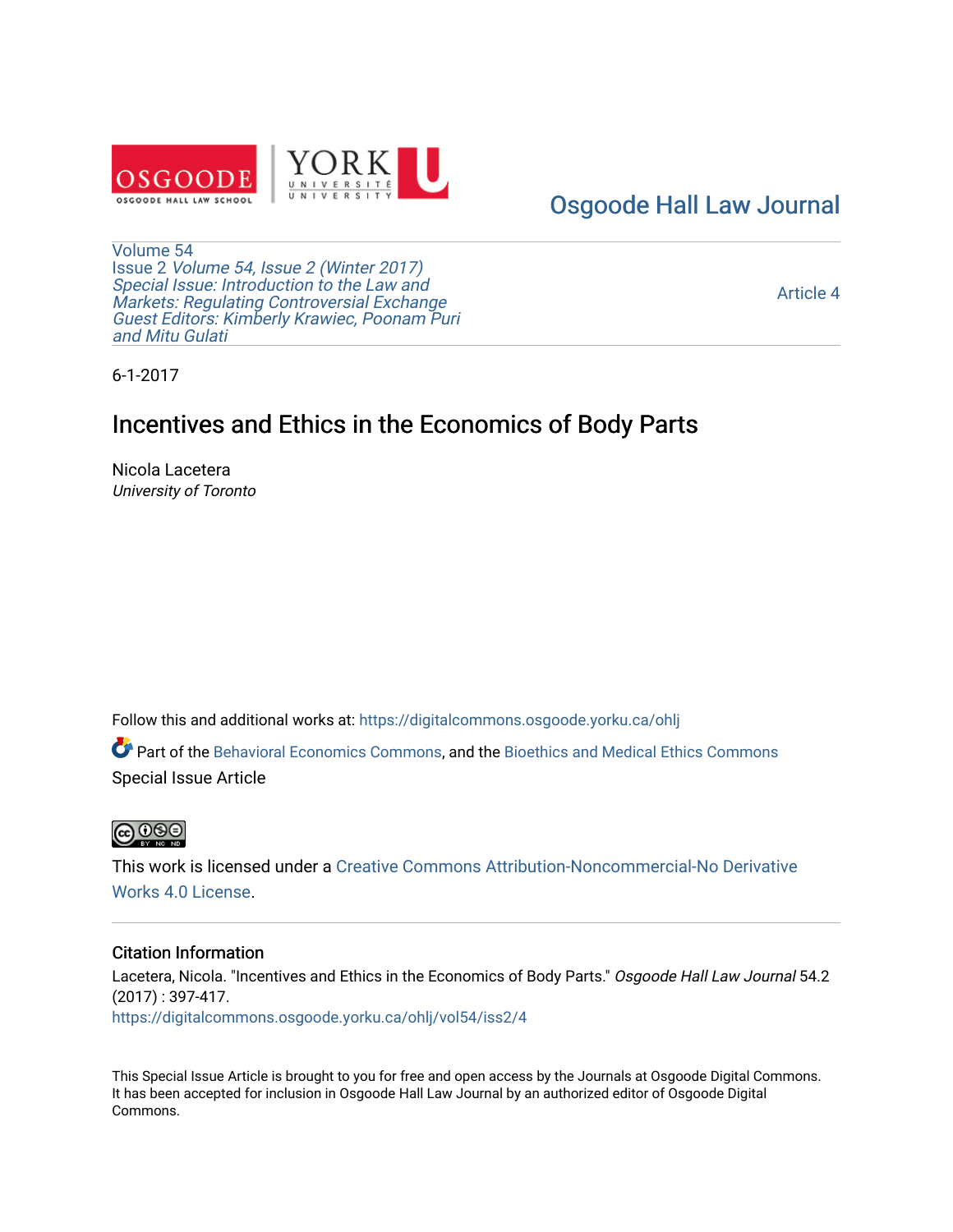

### [Osgoode Hall Law Journal](https://digitalcommons.osgoode.yorku.ca/ohlj)

[Volume 54](https://digitalcommons.osgoode.yorku.ca/ohlj/vol54) Issue 2 [Volume 54, Issue 2 \(Winter 2017\)](https://digitalcommons.osgoode.yorku.ca/ohlj/vol54/iss2)  Special Issue: Introduction to the Law and [Markets: Regulating Controversial Exchange](https://digitalcommons.osgoode.yorku.ca/ohlj/vol54/iss2)  [Guest Editors: Kimberly Krawiec, Poonam Puri](https://digitalcommons.osgoode.yorku.ca/ohlj/vol54/iss2) [and Mitu Gulati](https://digitalcommons.osgoode.yorku.ca/ohlj/vol54/iss2)

[Article 4](https://digitalcommons.osgoode.yorku.ca/ohlj/vol54/iss2/4) 

6-1-2017

## Incentives and Ethics in the Economics of Body Parts

Nicola Lacetera University of Toronto

Follow this and additional works at: [https://digitalcommons.osgoode.yorku.ca/ohlj](https://digitalcommons.osgoode.yorku.ca/ohlj?utm_source=digitalcommons.osgoode.yorku.ca%2Fohlj%2Fvol54%2Fiss2%2F4&utm_medium=PDF&utm_campaign=PDFCoverPages)

Part of the [Behavioral Economics Commons](http://network.bepress.com/hgg/discipline/341?utm_source=digitalcommons.osgoode.yorku.ca%2Fohlj%2Fvol54%2Fiss2%2F4&utm_medium=PDF&utm_campaign=PDFCoverPages), and the [Bioethics and Medical Ethics Commons](http://network.bepress.com/hgg/discipline/650?utm_source=digitalcommons.osgoode.yorku.ca%2Fohlj%2Fvol54%2Fiss2%2F4&utm_medium=PDF&utm_campaign=PDFCoverPages) Special Issue Article



This work is licensed under a [Creative Commons Attribution-Noncommercial-No Derivative](https://creativecommons.org/licenses/by-nc-nd/4.0/)  [Works 4.0 License](https://creativecommons.org/licenses/by-nc-nd/4.0/).

#### Citation Information

Lacetera, Nicola. "Incentives and Ethics in the Economics of Body Parts." Osgoode Hall Law Journal 54.2 (2017) : 397-417. [https://digitalcommons.osgoode.yorku.ca/ohlj/vol54/iss2/4](https://digitalcommons.osgoode.yorku.ca/ohlj/vol54/iss2/4?utm_source=digitalcommons.osgoode.yorku.ca%2Fohlj%2Fvol54%2Fiss2%2F4&utm_medium=PDF&utm_campaign=PDFCoverPages) 

This Special Issue Article is brought to you for free and open access by the Journals at Osgoode Digital Commons. It has been accepted for inclusion in Osgoode Hall Law Journal by an authorized editor of Osgoode Digital Commons.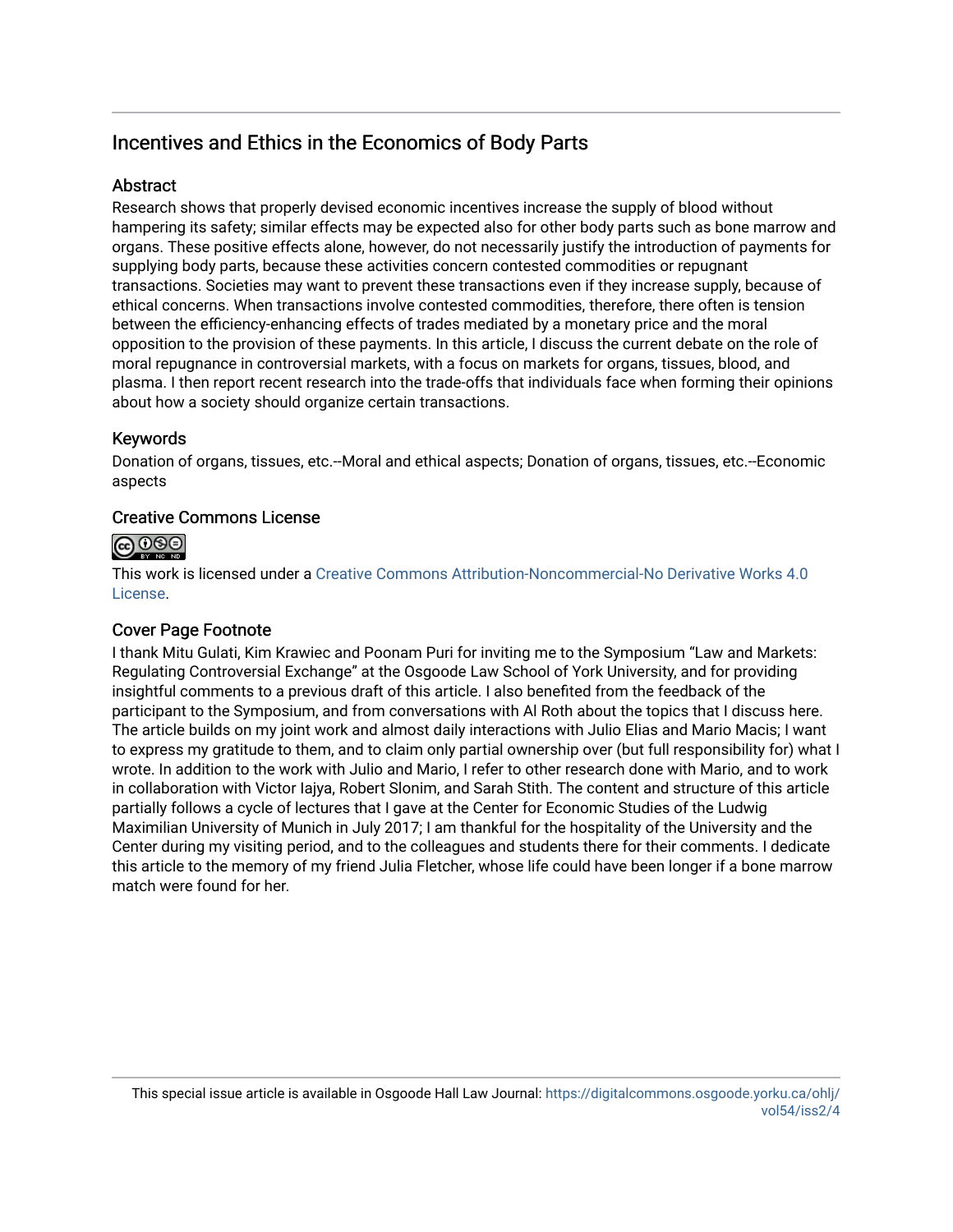### Incentives and Ethics in the Economics of Body Parts

### **Abstract**

Research shows that properly devised economic incentives increase the supply of blood without hampering its safety; similar effects may be expected also for other body parts such as bone marrow and organs. These positive effects alone, however, do not necessarily justify the introduction of payments for supplying body parts, because these activities concern contested commodities or repugnant transactions. Societies may want to prevent these transactions even if they increase supply, because of ethical concerns. When transactions involve contested commodities, therefore, there often is tension between the efficiency-enhancing effects of trades mediated by a monetary price and the moral opposition to the provision of these payments. In this article, I discuss the current debate on the role of moral repugnance in controversial markets, with a focus on markets for organs, tissues, blood, and plasma. I then report recent research into the trade-offs that individuals face when forming their opinions about how a society should organize certain transactions.

### Keywords

Donation of organs, tissues, etc.--Moral and ethical aspects; Donation of organs, tissues, etc.--Economic aspects

### Creative Commons License



This work is licensed under a [Creative Commons Attribution-Noncommercial-No Derivative Works 4.0](https://creativecommons.org/licenses/by-nc-nd/4.0/) [License](https://creativecommons.org/licenses/by-nc-nd/4.0/).

#### Cover Page Footnote

I thank Mitu Gulati, Kim Krawiec and Poonam Puri for inviting me to the Symposium "Law and Markets: Regulating Controversial Exchange" at the Osgoode Law School of York University, and for providing insightful comments to a previous draft of this article. I also benefited from the feedback of the participant to the Symposium, and from conversations with Al Roth about the topics that I discuss here. The article builds on my joint work and almost daily interactions with Julio Elias and Mario Macis; I want to express my gratitude to them, and to claim only partial ownership over (but full responsibility for) what I wrote. In addition to the work with Julio and Mario, I refer to other research done with Mario, and to work in collaboration with Victor Iajya, Robert Slonim, and Sarah Stith. The content and structure of this article partially follows a cycle of lectures that I gave at the Center for Economic Studies of the Ludwig Maximilian University of Munich in July 2017; I am thankful for the hospitality of the University and the Center during my visiting period, and to the colleagues and students there for their comments. I dedicate this article to the memory of my friend Julia Fletcher, whose life could have been longer if a bone marrow match were found for her.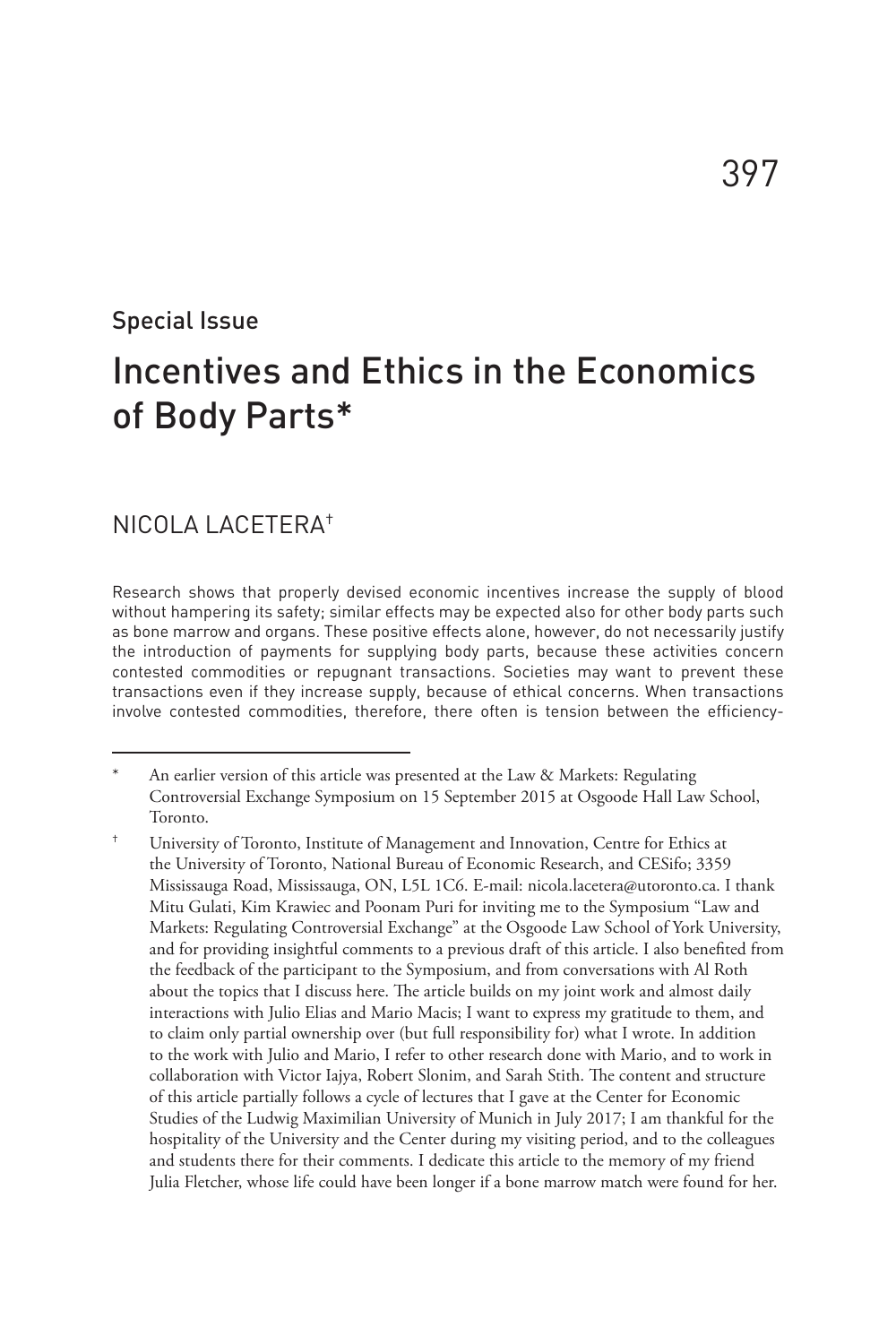#### Special Issue

# Incentives and Ethics in the Economics of Body Parts\*

#### NICOLA LACETERA†

Research shows that properly devised economic incentives increase the supply of blood without hampering its safety; similar effects may be expected also for other body parts such as bone marrow and organs. These positive effects alone, however, do not necessarily justify the introduction of payments for supplying body parts, because these activities concern contested commodities or repugnant transactions. Societies may want to prevent these transactions even if they increase supply, because of ethical concerns. When transactions involve contested commodities, therefore, there often is tension between the efficiency-

An earlier version of this article was presented at the Law & Markets: Regulating Controversial Exchange Symposium on 15 September 2015 at Osgoode Hall Law School, Toronto.

University of Toronto, Institute of Management and Innovation, Centre for Ethics at the University of Toronto, National Bureau of Economic Research, and CESifo; 3359 Mississauga Road, Mississauga, ON, L5L 1C6. E-mail: nicola.lacetera@utoronto.ca. I thank Mitu Gulati, Kim Krawiec and Poonam Puri for inviting me to the Symposium "Law and Markets: Regulating Controversial Exchange" at the Osgoode Law School of York University, and for providing insightful comments to a previous draft of this article. I also benefited from the feedback of the participant to the Symposium, and from conversations with Al Roth about the topics that I discuss here. The article builds on my joint work and almost daily interactions with Julio Elias and Mario Macis; I want to express my gratitude to them, and to claim only partial ownership over (but full responsibility for) what I wrote. In addition to the work with Julio and Mario, I refer to other research done with Mario, and to work in collaboration with Victor Iajya, Robert Slonim, and Sarah Stith. The content and structure of this article partially follows a cycle of lectures that I gave at the Center for Economic Studies of the Ludwig Maximilian University of Munich in July 2017; I am thankful for the hospitality of the University and the Center during my visiting period, and to the colleagues and students there for their comments. I dedicate this article to the memory of my friend Julia Fletcher, whose life could have been longer if a bone marrow match were found for her.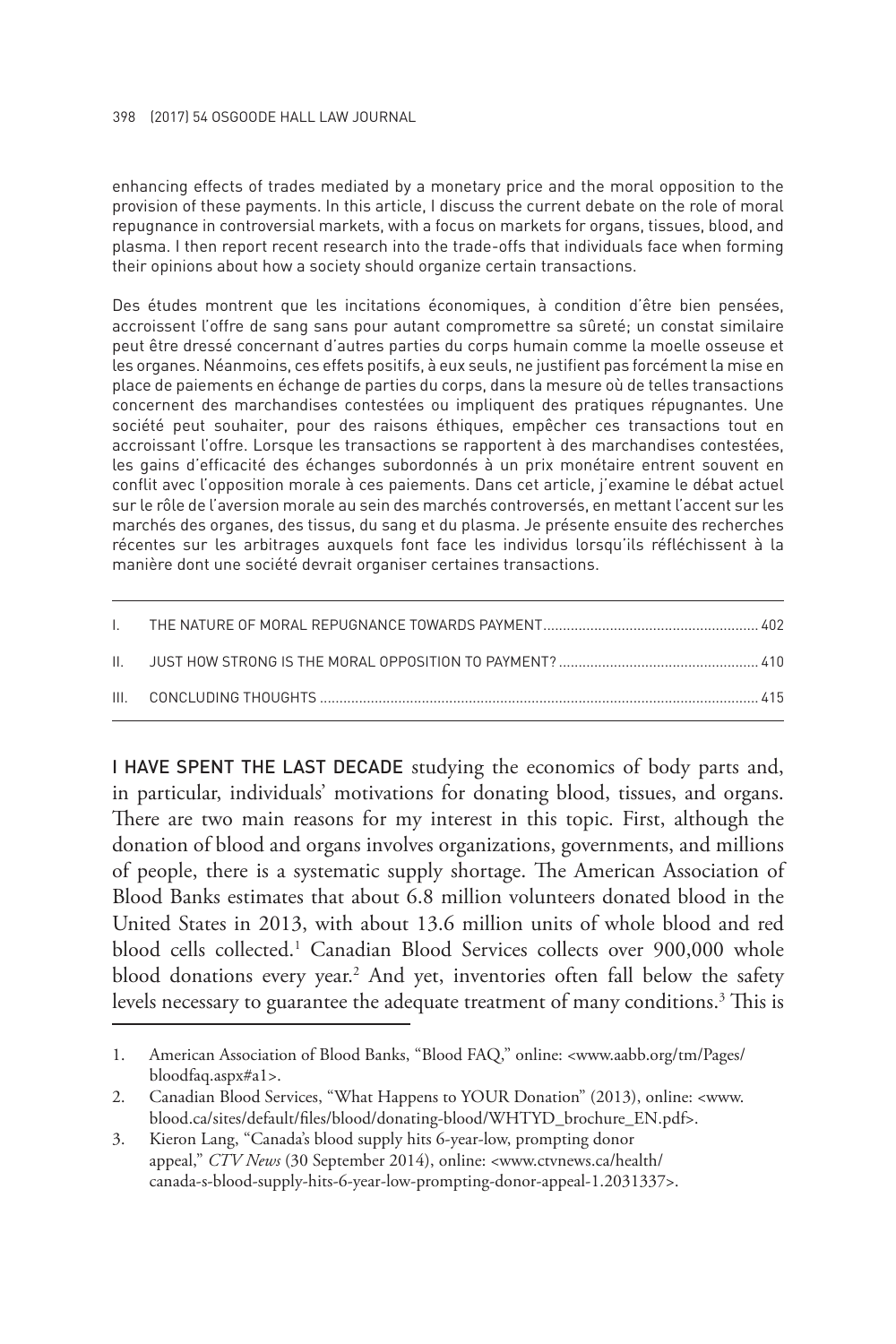#### 398 (2017) 54 OSGOODE HALL LAW JOURNAL

enhancing effects of trades mediated by a monetary price and the moral opposition to the provision of these payments. In this article, I discuss the current debate on the role of moral repugnance in controversial markets, with a focus on markets for organs, tissues, blood, and plasma. I then report recent research into the trade-offs that individuals face when forming their opinions about how a society should organize certain transactions.

Des études montrent que les incitations économiques, à condition d'être bien pensées, accroissent l'offre de sang sans pour autant compromettre sa sûreté; un constat similaire peut être dressé concernant d'autres parties du corps humain comme la moelle osseuse et les organes. Néanmoins, ces effets positifs, à eux seuls, ne justifient pas forcément la mise en place de paiements en échange de parties du corps, dans la mesure où de telles transactions concernent des marchandises contestées ou impliquent des pratiques répugnantes. Une société peut souhaiter, pour des raisons éthiques, empêcher ces transactions tout en accroissant l'offre. Lorsque les transactions se rapportent à des marchandises contestées, les gains d'efficacité des échanges subordonnés à un prix monétaire entrent souvent en conflit avec l'opposition morale à ces paiements. Dans cet article, j'examine le débat actuel sur le rôle de l'aversion morale au sein des marchés controversés, en mettant l'accent sur les marchés des organes, des tissus, du sang et du plasma. Je présente ensuite des recherches récentes sur les arbitrages auxquels font face les individus lorsqu'ils réfléchissent à la manière dont une société devrait organiser certaines transactions.

I HAVE SPENT THE LAST DECADE studying the economics of body parts and, in particular, individuals' motivations for donating blood, tissues, and organs. There are two main reasons for my interest in this topic. First, although the donation of blood and organs involves organizations, governments, and millions of people, there is a systematic supply shortage. The American Association of Blood Banks estimates that about 6.8 million volunteers donated blood in the United States in 2013, with about 13.6 million units of whole blood and red blood cells collected.1 Canadian Blood Services collects over 900,000 whole blood donations every year.<sup>2</sup> And yet, inventories often fall below the safety levels necessary to guarantee the adequate treatment of many conditions.<sup>3</sup> This is

<sup>1.</sup> American Association of Blood Banks, "Blood FAQ," online: <www.aabb.org/tm/Pages/ bloodfaq.aspx#a1>.

<sup>2.</sup> Canadian Blood Services, "What Happens to YOUR Donation" (2013), online: <www. blood.ca/sites/default/files/blood/donating-blood/WHTYD\_brochure\_EN.pdf>.

<sup>3.</sup> Kieron Lang, "Canada's blood supply hits 6-year-low, prompting donor appeal," *CTV News* (30 September 2014), online: <www.ctvnews.ca/health/ canada-s-blood-supply-hits-6-year-low-prompting-donor-appeal-1.2031337>.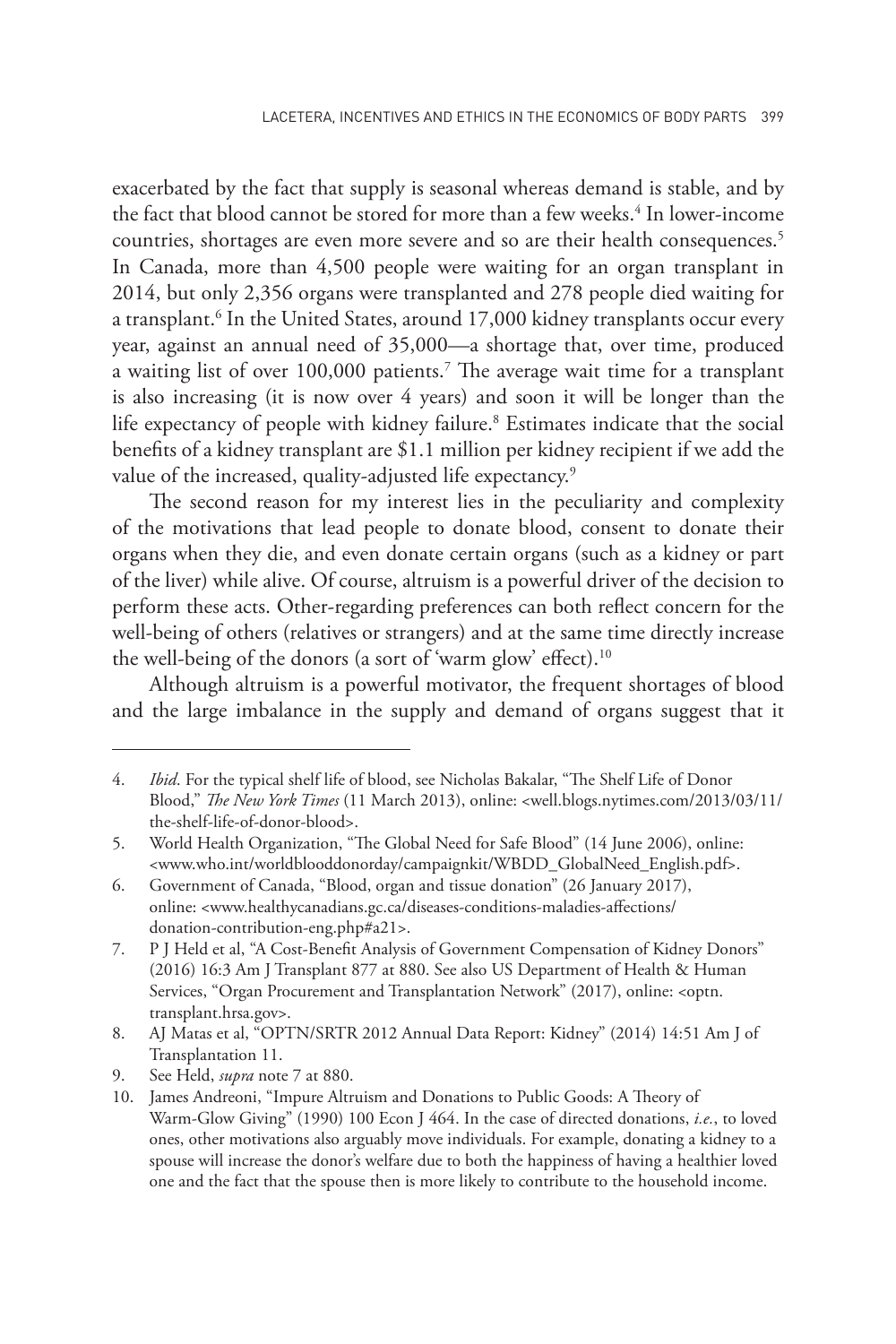exacerbated by the fact that supply is seasonal whereas demand is stable, and by the fact that blood cannot be stored for more than a few weeks.<sup>4</sup> In lower-income countries, shortages are even more severe and so are their health consequences.<sup>5</sup> In Canada, more than 4,500 people were waiting for an organ transplant in 2014, but only 2,356 organs were transplanted and 278 people died waiting for a transplant.<sup>6</sup> In the United States, around 17,000 kidney transplants occur every year, against an annual need of 35,000—a shortage that, over time, produced a waiting list of over 100,000 patients.<sup>7</sup> The average wait time for a transplant is also increasing (it is now over 4 years) and soon it will be longer than the life expectancy of people with kidney failure.<sup>8</sup> Estimates indicate that the social benefits of a kidney transplant are \$1.1 million per kidney recipient if we add the value of the increased, quality-adjusted life expectancy.<sup>9</sup>

The second reason for my interest lies in the peculiarity and complexity of the motivations that lead people to donate blood, consent to donate their organs when they die, and even donate certain organs (such as a kidney or part of the liver) while alive. Of course, altruism is a powerful driver of the decision to perform these acts. Other-regarding preferences can both reflect concern for the well-being of others (relatives or strangers) and at the same time directly increase the well-being of the donors (a sort of 'warm glow' effect).<sup>10</sup>

Although altruism is a powerful motivator, the frequent shortages of blood and the large imbalance in the supply and demand of organs suggest that it

<sup>4.</sup> *Ibid*. For the typical shelf life of blood, see Nicholas Bakalar, "The Shelf Life of Donor Blood," *The New York Times* (11 March 2013), online: <well.blogs.nytimes.com/2013/03/11/ the-shelf-life-of-donor-blood>.

<sup>5.</sup> World Health Organization, "The Global Need for Safe Blood" (14 June 2006), online: <www.who.int/worldblooddonorday/campaignkit/WBDD\_GlobalNeed\_English.pdf>.

<sup>6.</sup> Government of Canada, "Blood, organ and tissue donation" (26 January 2017), online: <www.healthycanadians.gc.ca/diseases-conditions-maladies-affections/ donation-contribution-eng.php#a21>.

<sup>7.</sup> P J Held et al, "A Cost-Benefit Analysis of Government Compensation of Kidney Donors" (2016) 16:3 Am J Transplant 877 at 880. See also US Department of Health & Human Services, "Organ Procurement and Transplantation Network" (2017), online: <optn. transplant.hrsa.gov>.

<sup>8.</sup> AJ Matas et al, "OPTN/SRTR 2012 Annual Data Report: Kidney" (2014) 14:51 Am J of Transplantation 11.

<sup>9.</sup> See Held, *supra* note 7 at 880.

<sup>10.</sup> James Andreoni, "Impure Altruism and Donations to Public Goods: A Theory of Warm-Glow Giving" (1990) 100 Econ J 464. In the case of directed donations, *i.e.*, to loved ones, other motivations also arguably move individuals. For example, donating a kidney to a spouse will increase the donor's welfare due to both the happiness of having a healthier loved one and the fact that the spouse then is more likely to contribute to the household income.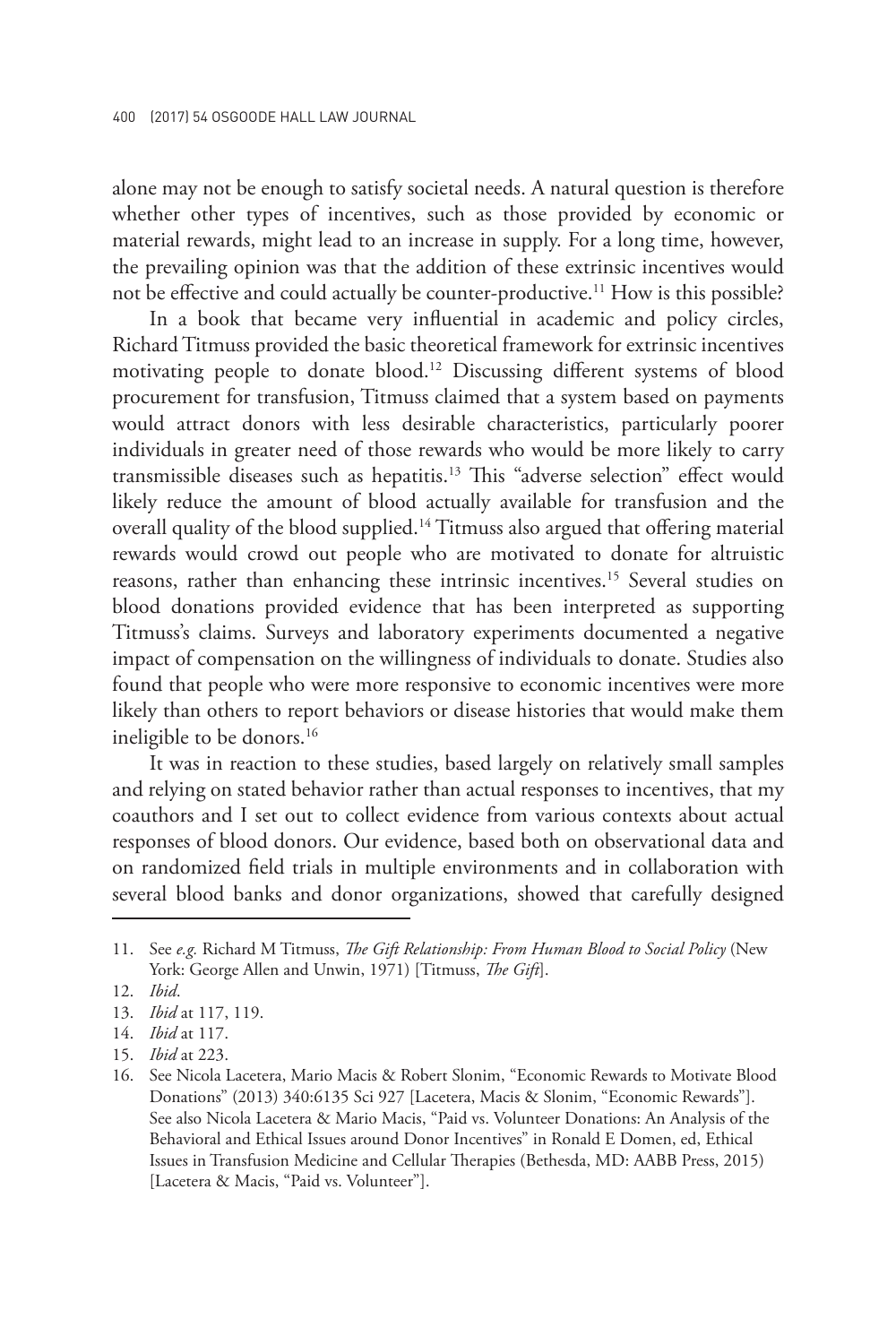alone may not be enough to satisfy societal needs. A natural question is therefore whether other types of incentives, such as those provided by economic or material rewards, might lead to an increase in supply. For a long time, however, the prevailing opinion was that the addition of these extrinsic incentives would not be effective and could actually be counter-productive.<sup>11</sup> How is this possible?

In a book that became very influential in academic and policy circles, Richard Titmuss provided the basic theoretical framework for extrinsic incentives motivating people to donate blood.12 Discussing different systems of blood procurement for transfusion, Titmuss claimed that a system based on payments would attract donors with less desirable characteristics, particularly poorer individuals in greater need of those rewards who would be more likely to carry transmissible diseases such as hepatitis.13 This "adverse selection" effect would likely reduce the amount of blood actually available for transfusion and the overall quality of the blood supplied.14 Titmuss also argued that offering material rewards would crowd out people who are motivated to donate for altruistic reasons, rather than enhancing these intrinsic incentives.<sup>15</sup> Several studies on blood donations provided evidence that has been interpreted as supporting Titmuss's claims. Surveys and laboratory experiments documented a negative impact of compensation on the willingness of individuals to donate. Studies also found that people who were more responsive to economic incentives were more likely than others to report behaviors or disease histories that would make them ineligible to be donors.<sup>16</sup>

It was in reaction to these studies, based largely on relatively small samples and relying on stated behavior rather than actual responses to incentives, that my coauthors and I set out to collect evidence from various contexts about actual responses of blood donors. Our evidence, based both on observational data and on randomized field trials in multiple environments and in collaboration with several blood banks and donor organizations, showed that carefully designed

<sup>11.</sup> See *e.g.* Richard M Titmuss, *The Gift Relationship: From Human Blood to Social Policy* (New York: George Allen and Unwin, 1971) [Titmuss, *The Gift*].

<sup>12.</sup> *Ibid*.

<sup>13.</sup> *Ibid* at 117, 119.

<sup>14.</sup> *Ibid* at 117.

<sup>15.</sup> *Ibid* at 223.

<sup>16.</sup> See Nicola Lacetera, Mario Macis & Robert Slonim, "Economic Rewards to Motivate Blood Donations" (2013) 340:6135 Sci 927 [Lacetera, Macis & Slonim, "Economic Rewards"]. See also Nicola Lacetera & Mario Macis, "Paid vs. Volunteer Donations: An Analysis of the Behavioral and Ethical Issues around Donor Incentives" in Ronald E Domen, ed, Ethical Issues in Transfusion Medicine and Cellular Therapies (Bethesda, MD: AABB Press, 2015) [Lacetera & Macis, "Paid vs. Volunteer"].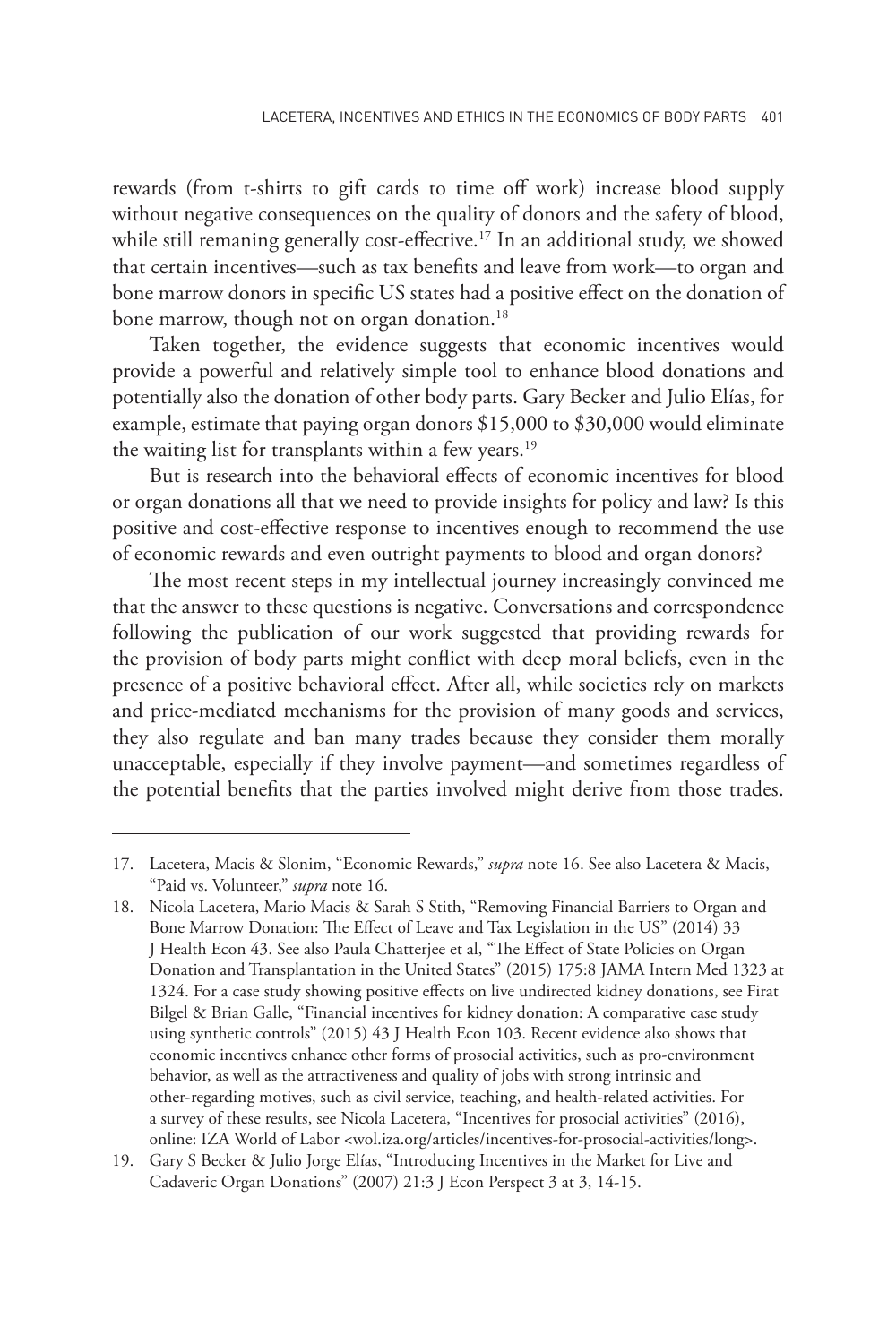rewards (from t-shirts to gift cards to time off work) increase blood supply without negative consequences on the quality of donors and the safety of blood, while still remaning generally cost-effective.<sup>17</sup> In an additional study, we showed that certain incentives—such as tax benefits and leave from work—to organ and bone marrow donors in specific US states had a positive effect on the donation of bone marrow, though not on organ donation.<sup>18</sup>

Taken together, the evidence suggests that economic incentives would provide a powerful and relatively simple tool to enhance blood donations and potentially also the donation of other body parts. Gary Becker and Julio Elías, for example, estimate that paying organ donors \$15,000 to \$30,000 would eliminate the waiting list for transplants within a few years.<sup>19</sup>

But is research into the behavioral effects of economic incentives for blood or organ donations all that we need to provide insights for policy and law? Is this positive and cost-effective response to incentives enough to recommend the use of economic rewards and even outright payments to blood and organ donors?

The most recent steps in my intellectual journey increasingly convinced me that the answer to these questions is negative. Conversations and correspondence following the publication of our work suggested that providing rewards for the provision of body parts might conflict with deep moral beliefs, even in the presence of a positive behavioral effect. After all, while societies rely on markets and price-mediated mechanisms for the provision of many goods and services, they also regulate and ban many trades because they consider them morally unacceptable, especially if they involve payment—and sometimes regardless of the potential benefits that the parties involved might derive from those trades.

<sup>17.</sup> Lacetera, Macis & Slonim, "Economic Rewards," *supra* note 16. See also Lacetera & Macis, "Paid vs. Volunteer," *supra* note 16.

<sup>18.</sup> Nicola Lacetera, Mario Macis & Sarah S Stith, "Removing Financial Barriers to Organ and Bone Marrow Donation: The Effect of Leave and Tax Legislation in the US" (2014) 33 J Health Econ 43. See also Paula Chatterjee et al, "The Effect of State Policies on Organ Donation and Transplantation in the United States" (2015) 175:8 JAMA Intern Med 1323 at 1324. For a case study showing positive effects on live undirected kidney donations, see Firat Bilgel & Brian Galle, "Financial incentives for kidney donation: A comparative case study using synthetic controls" (2015) 43 J Health Econ 103. Recent evidence also shows that economic incentives enhance other forms of prosocial activities, such as pro-environment behavior, as well as the attractiveness and quality of jobs with strong intrinsic and other-regarding motives, such as civil service, teaching, and health-related activities. For a survey of these results, see Nicola Lacetera, "Incentives for prosocial activities" (2016), online: IZA World of Labor <wol.iza.org/articles/incentives-for-prosocial-activities/long>.

<sup>19.</sup> Gary S Becker & Julio Jorge Elías, "Introducing Incentives in the Market for Live and Cadaveric Organ Donations" (2007) 21:3 J Econ Perspect 3 at 3, 14-15.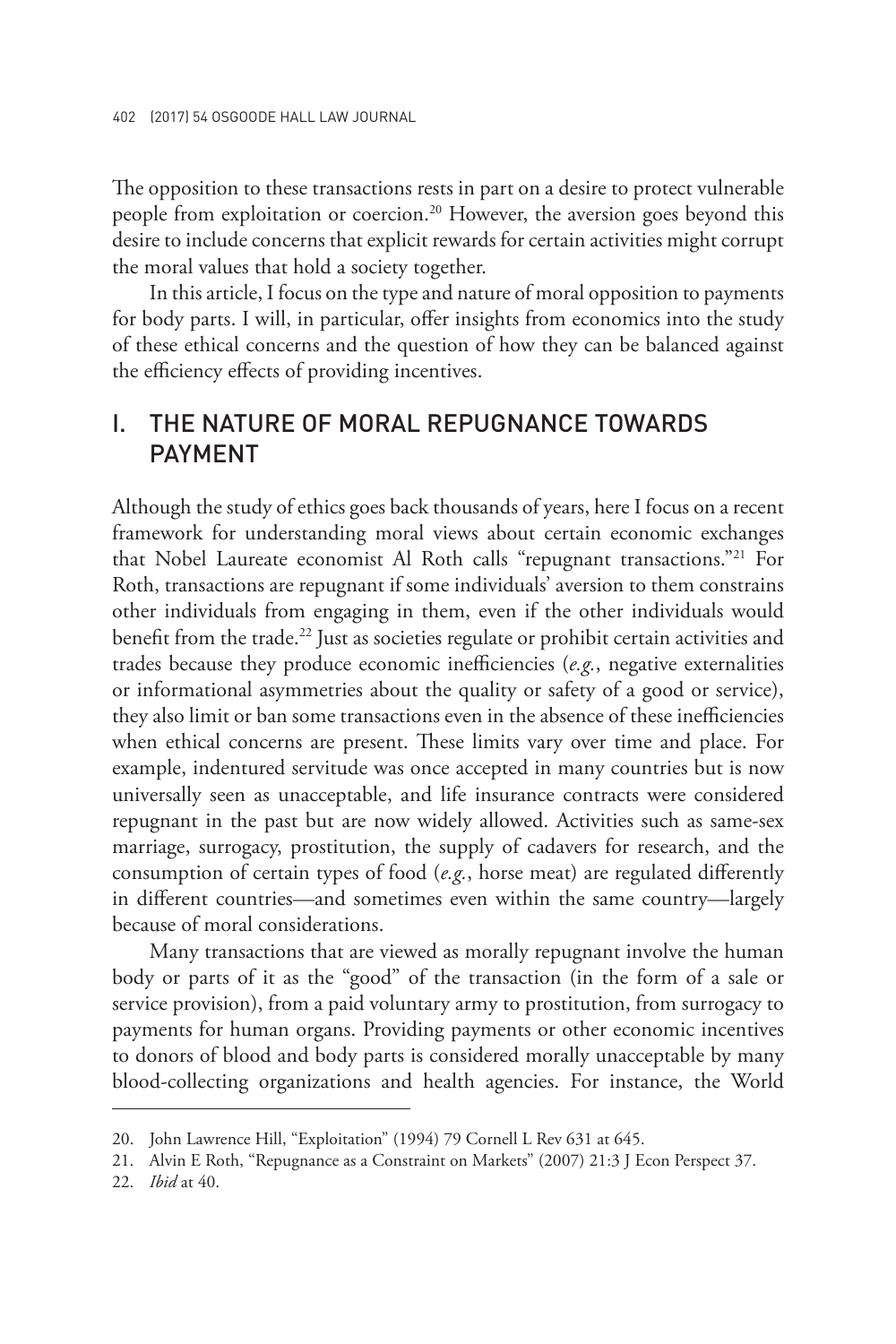The opposition to these transactions rests in part on a desire to protect vulnerable people from exploitation or coercion.<sup>20</sup> However, the aversion goes beyond this desire to include concerns that explicit rewards for certain activities might corrupt the moral values that hold a society together.

In this article, I focus on the type and nature of moral opposition to payments for body parts. I will, in particular, offer insights from economics into the study of these ethical concerns and the question of how they can be balanced against the efficiency effects of providing incentives.

#### I. THE NATURE OF MORAL REPUGNANCE TOWARDS **PAYMENT**

Although the study of ethics goes back thousands of years, here I focus on a recent framework for understanding moral views about certain economic exchanges that Nobel Laureate economist Al Roth calls "repugnant transactions."<sup>21</sup> For Roth, transactions are repugnant if some individuals' aversion to them constrains other individuals from engaging in them, even if the other individuals would benefit from the trade.<sup>22</sup> Just as societies regulate or prohibit certain activities and trades because they produce economic inefficiencies (*e.g.*, negative externalities or informational asymmetries about the quality or safety of a good or service), they also limit or ban some transactions even in the absence of these inefficiencies when ethical concerns are present. These limits vary over time and place. For example, indentured servitude was once accepted in many countries but is now universally seen as unacceptable, and life insurance contracts were considered repugnant in the past but are now widely allowed. Activities such as same-sex marriage, surrogacy, prostitution, the supply of cadavers for research, and the consumption of certain types of food (*e.g.*, horse meat) are regulated differently in different countries—and sometimes even within the same country—largely because of moral considerations.

Many transactions that are viewed as morally repugnant involve the human body or parts of it as the "good" of the transaction (in the form of a sale or service provision), from a paid voluntary army to prostitution, from surrogacy to payments for human organs. Providing payments or other economic incentives to donors of blood and body parts is considered morally unacceptable by many blood-collecting organizations and health agencies. For instance, the World

22. *Ibid* at 40.

<sup>20.</sup> John Lawrence Hill, "Exploitation" (1994) 79 Cornell L Rev 631 at 645.

<sup>21.</sup> Alvin E Roth, "Repugnance as a Constraint on Markets" (2007) 21:3 J Econ Perspect 37.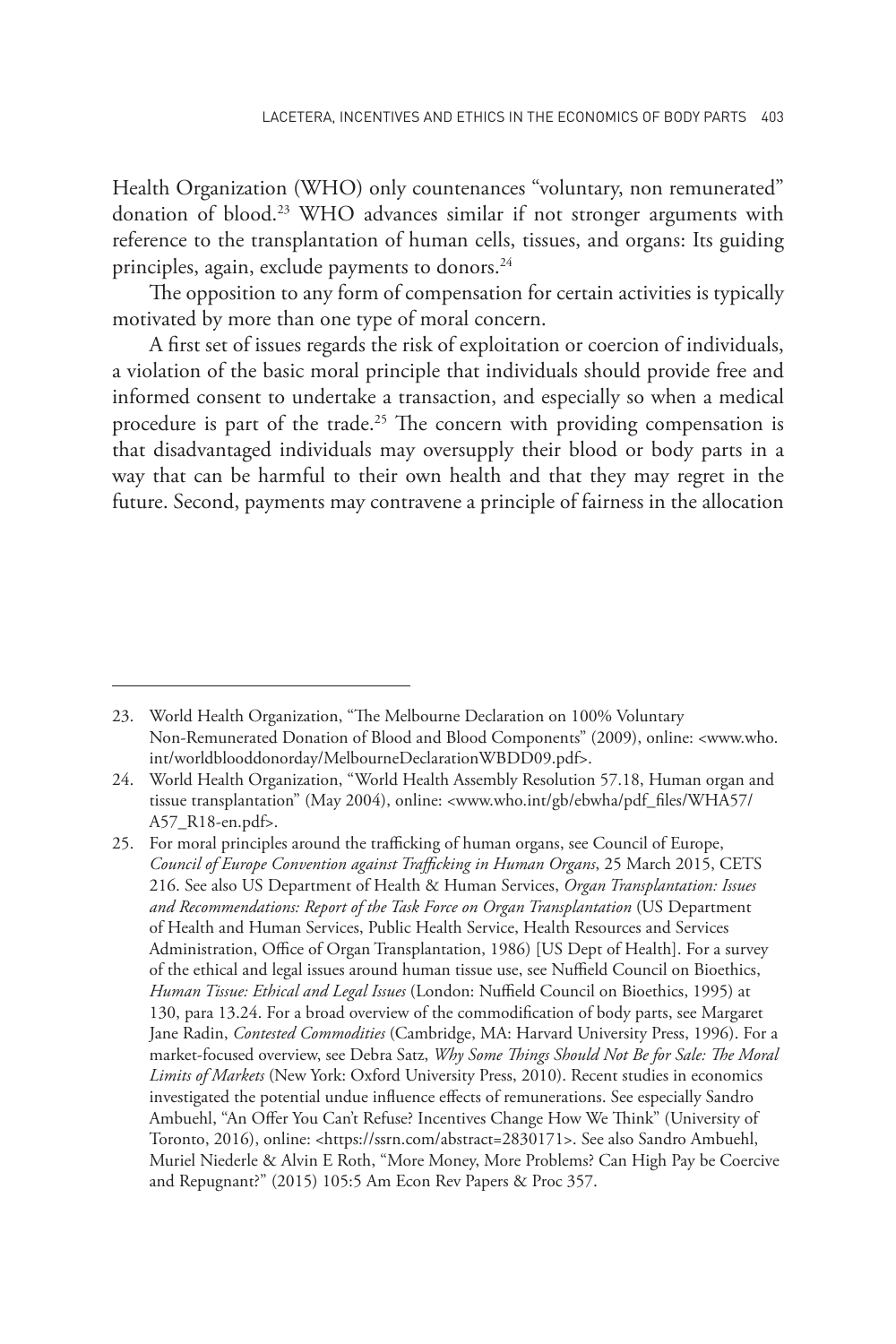Health Organization (WHO) only countenances "voluntary, non remunerated" donation of blood.<sup>23</sup> WHO advances similar if not stronger arguments with reference to the transplantation of human cells, tissues, and organs: Its guiding principles, again, exclude payments to donors.24

The opposition to any form of compensation for certain activities is typically motivated by more than one type of moral concern.

A first set of issues regards the risk of exploitation or coercion of individuals, a violation of the basic moral principle that individuals should provide free and informed consent to undertake a transaction, and especially so when a medical procedure is part of the trade.<sup>25</sup> The concern with providing compensation is that disadvantaged individuals may oversupply their blood or body parts in a way that can be harmful to their own health and that they may regret in the future. Second, payments may contravene a principle of fairness in the allocation

<sup>23.</sup> World Health Organization, "The Melbourne Declaration on 100% Voluntary Non-Remunerated Donation of Blood and Blood Components" (2009), online: <www.who. int/worldblooddonorday/MelbourneDeclarationWBDD09.pdf>.

<sup>24.</sup> World Health Organization, "World Health Assembly Resolution 57.18, Human organ and tissue transplantation" (May 2004), online: <www.who.int/gb/ebwha/pdf\_files/WHA57/ A57\_R18-en.pdf>.

<sup>25.</sup> For moral principles around the trafficking of human organs, see Council of Europe, *Council of Europe Convention against Trafficking in Human Organs*, 25 March 2015, CETS 216. See also US Department of Health & Human Services, *Organ Transplantation: Issues and Recommendations: Report of the Task Force on Organ Transplantation* (US Department of Health and Human Services, Public Health Service, Health Resources and Services Administration, Office of Organ Transplantation, 1986) [US Dept of Health]. For a survey of the ethical and legal issues around human tissue use, see Nuffield Council on Bioethics, *Human Tissue: Ethical and Legal Issues* (London: Nuffield Council on Bioethics, 1995) at 130, para 13.24. For a broad overview of the commodification of body parts, see Margaret Jane Radin, *Contested Commodities* (Cambridge, MA: Harvard University Press, 1996). For a market-focused overview, see Debra Satz, *Why Some Things Should Not Be for Sale: The Moral Limits of Markets* (New York: Oxford University Press, 2010). Recent studies in economics investigated the potential undue influence effects of remunerations. See especially Sandro Ambuehl, "An Offer You Can't Refuse? Incentives Change How We Think" (University of Toronto, 2016), online: <https://ssrn.com/abstract=2830171>. See also Sandro Ambuehl, Muriel Niederle & Alvin E Roth, "More Money, More Problems? Can High Pay be Coercive and Repugnant?" (2015) 105:5 Am Econ Rev Papers & Proc 357.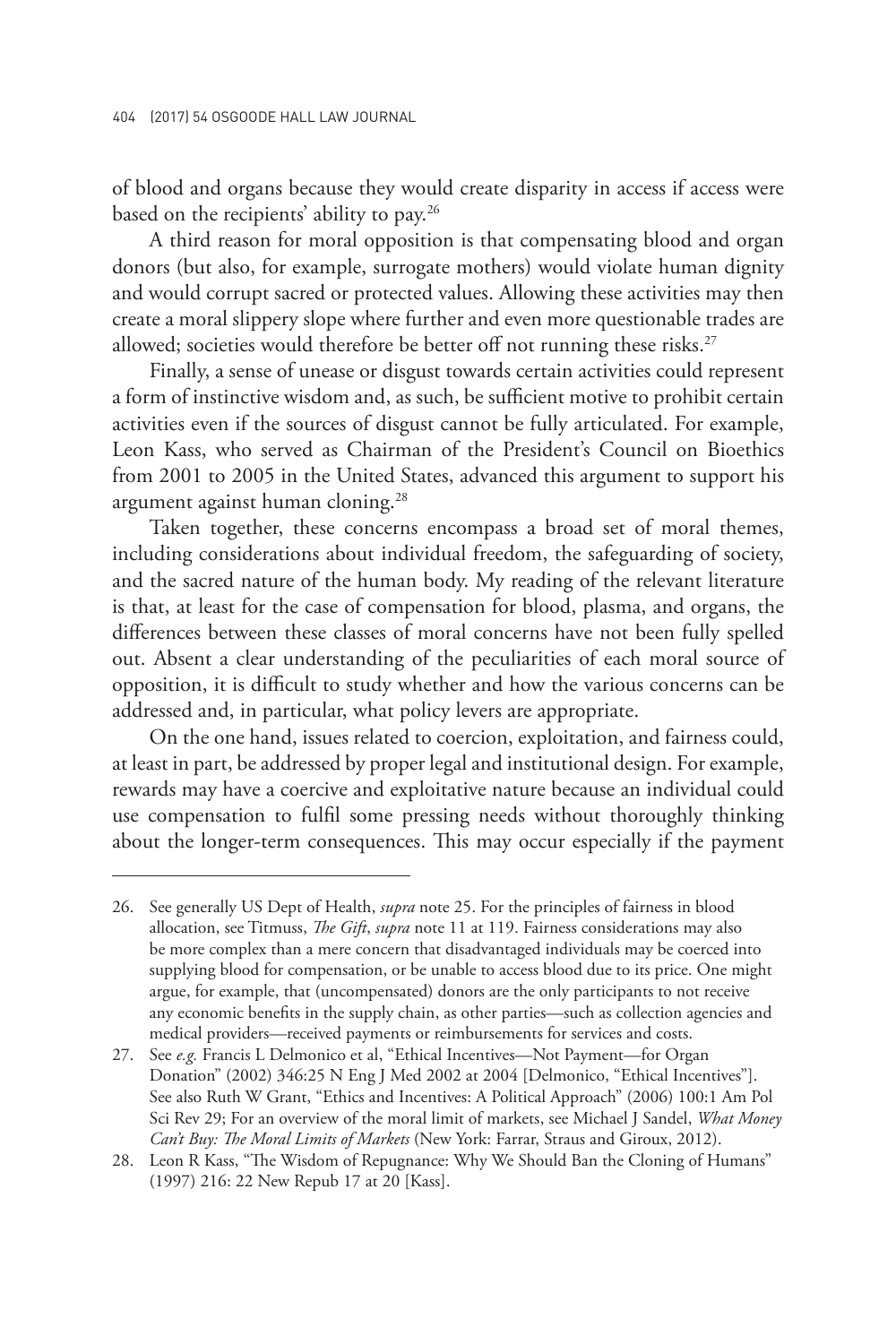of blood and organs because they would create disparity in access if access were based on the recipients' ability to pay.<sup>26</sup>

A third reason for moral opposition is that compensating blood and organ donors (but also, for example, surrogate mothers) would violate human dignity and would corrupt sacred or protected values. Allowing these activities may then create a moral slippery slope where further and even more questionable trades are allowed; societies would therefore be better off not running these risks.<sup>27</sup>

Finally, a sense of unease or disgust towards certain activities could represent a form of instinctive wisdom and, as such, be sufficient motive to prohibit certain activities even if the sources of disgust cannot be fully articulated. For example, Leon Kass, who served as Chairman of the President's Council on Bioethics from 2001 to 2005 in the United States, advanced this argument to support his argument against human cloning.28

Taken together, these concerns encompass a broad set of moral themes, including considerations about individual freedom, the safeguarding of society, and the sacred nature of the human body. My reading of the relevant literature is that, at least for the case of compensation for blood, plasma, and organs, the differences between these classes of moral concerns have not been fully spelled out. Absent a clear understanding of the peculiarities of each moral source of opposition, it is difficult to study whether and how the various concerns can be addressed and, in particular, what policy levers are appropriate.

On the one hand, issues related to coercion, exploitation, and fairness could, at least in part, be addressed by proper legal and institutional design. For example, rewards may have a coercive and exploitative nature because an individual could use compensation to fulfil some pressing needs without thoroughly thinking about the longer-term consequences. This may occur especially if the payment

<sup>26.</sup> See generally US Dept of Health, *supra* note 25. For the principles of fairness in blood allocation, see Titmuss, *The Gift*, *supra* note 11 at 119. Fairness considerations may also be more complex than a mere concern that disadvantaged individuals may be coerced into supplying blood for compensation, or be unable to access blood due to its price. One might argue, for example, that (uncompensated) donors are the only participants to not receive any economic benefits in the supply chain, as other parties—such as collection agencies and medical providers—received payments or reimbursements for services and costs.

<sup>27.</sup> See *e.g.* Francis L Delmonico et al, "Ethical Incentives—Not Payment—for Organ Donation" (2002) 346:25 N Eng J Med 2002 at 2004 [Delmonico, "Ethical Incentives"]. See also Ruth W Grant, "Ethics and Incentives: A Political Approach" (2006) 100:1 Am Pol Sci Rev 29; For an overview of the moral limit of markets, see Michael J Sandel, *What Money Can't Buy: The Moral Limits of Markets* (New York: Farrar, Straus and Giroux, 2012).

<sup>28.</sup> Leon R Kass, "The Wisdom of Repugnance: Why We Should Ban the Cloning of Humans" (1997) 216: 22 New Repub 17 at 20 [Kass].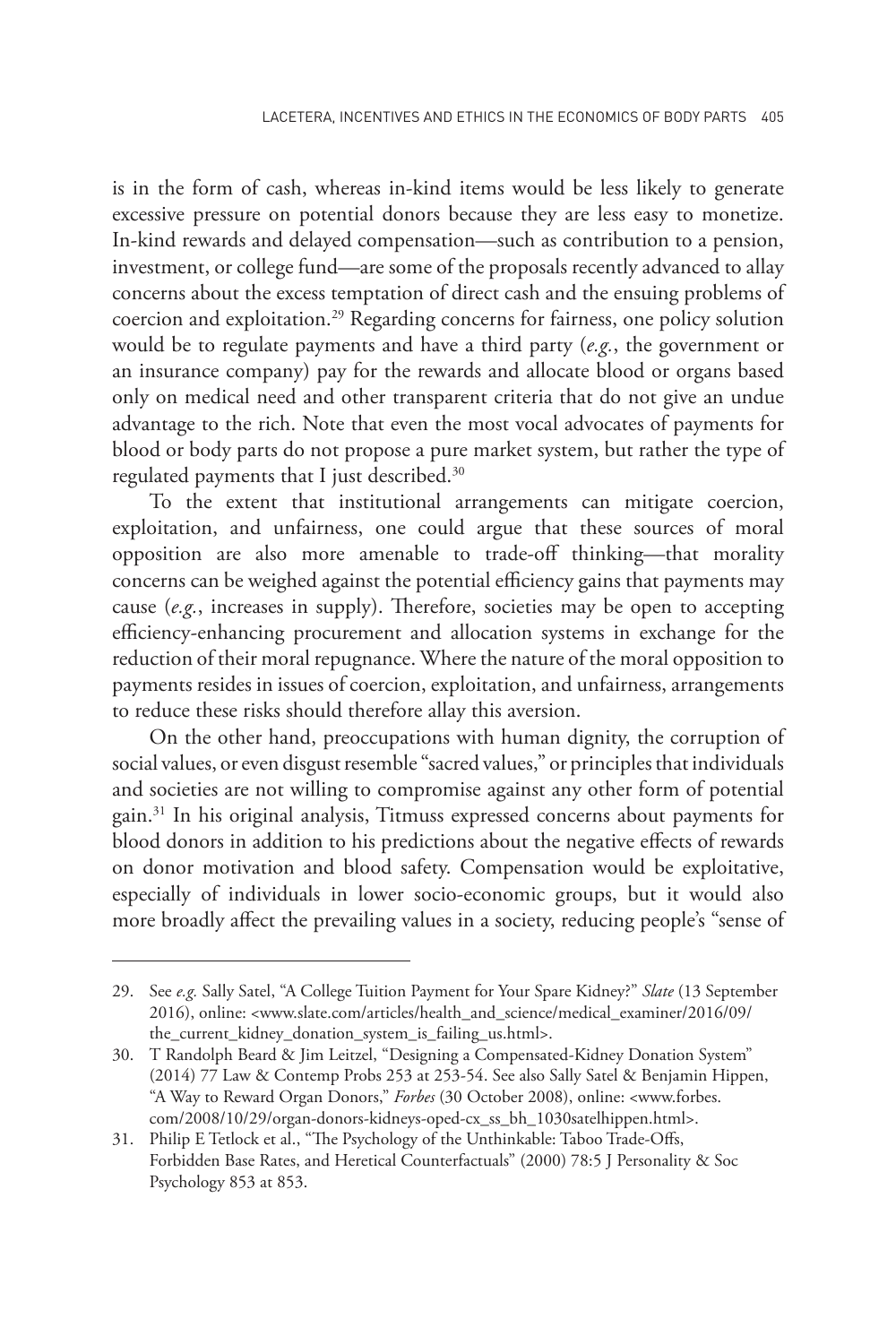is in the form of cash, whereas in-kind items would be less likely to generate excessive pressure on potential donors because they are less easy to monetize. In-kind rewards and delayed compensation—such as contribution to a pension, investment, or college fund—are some of the proposals recently advanced to allay concerns about the excess temptation of direct cash and the ensuing problems of coercion and exploitation.<sup>29</sup> Regarding concerns for fairness, one policy solution would be to regulate payments and have a third party (*e.g.*, the government or an insurance company) pay for the rewards and allocate blood or organs based only on medical need and other transparent criteria that do not give an undue advantage to the rich. Note that even the most vocal advocates of payments for blood or body parts do not propose a pure market system, but rather the type of regulated payments that I just described.<sup>30</sup>

To the extent that institutional arrangements can mitigate coercion, exploitation, and unfairness, one could argue that these sources of moral opposition are also more amenable to trade-off thinking—that morality concerns can be weighed against the potential efficiency gains that payments may cause (*e.g.*, increases in supply). Therefore, societies may be open to accepting efficiency-enhancing procurement and allocation systems in exchange for the reduction of their moral repugnance. Where the nature of the moral opposition to payments resides in issues of coercion, exploitation, and unfairness, arrangements to reduce these risks should therefore allay this aversion.

On the other hand, preoccupations with human dignity, the corruption of social values, or even disgust resemble "sacred values," or principles that individuals and societies are not willing to compromise against any other form of potential gain.31 In his original analysis, Titmuss expressed concerns about payments for blood donors in addition to his predictions about the negative effects of rewards on donor motivation and blood safety. Compensation would be exploitative, especially of individuals in lower socio-economic groups, but it would also more broadly affect the prevailing values in a society, reducing people's "sense of

<sup>29.</sup> See *e.g.* Sally Satel, "A College Tuition Payment for Your Spare Kidney?" *Slate* (13 September 2016), online: <www.slate.com/articles/health\_and\_science/medical\_examiner/2016/09/ the\_current\_kidney\_donation\_system\_is\_failing\_us.html>.

<sup>30.</sup> T Randolph Beard & Jim Leitzel, "Designing a Compensated-Kidney Donation System" (2014) 77 Law & Contemp Probs 253 at 253-54. See also Sally Satel & Benjamin Hippen, "A Way to Reward Organ Donors," *Forbes* (30 October 2008), online: <www.forbes. com/2008/10/29/organ-donors-kidneys-oped-cx\_ss\_bh\_1030satelhippen.html>.

<sup>31.</sup> Philip E Tetlock et al., "The Psychology of the Unthinkable: Taboo Trade-Offs, Forbidden Base Rates, and Heretical Counterfactuals" (2000) 78:5 J Personality & Soc Psychology 853 at 853.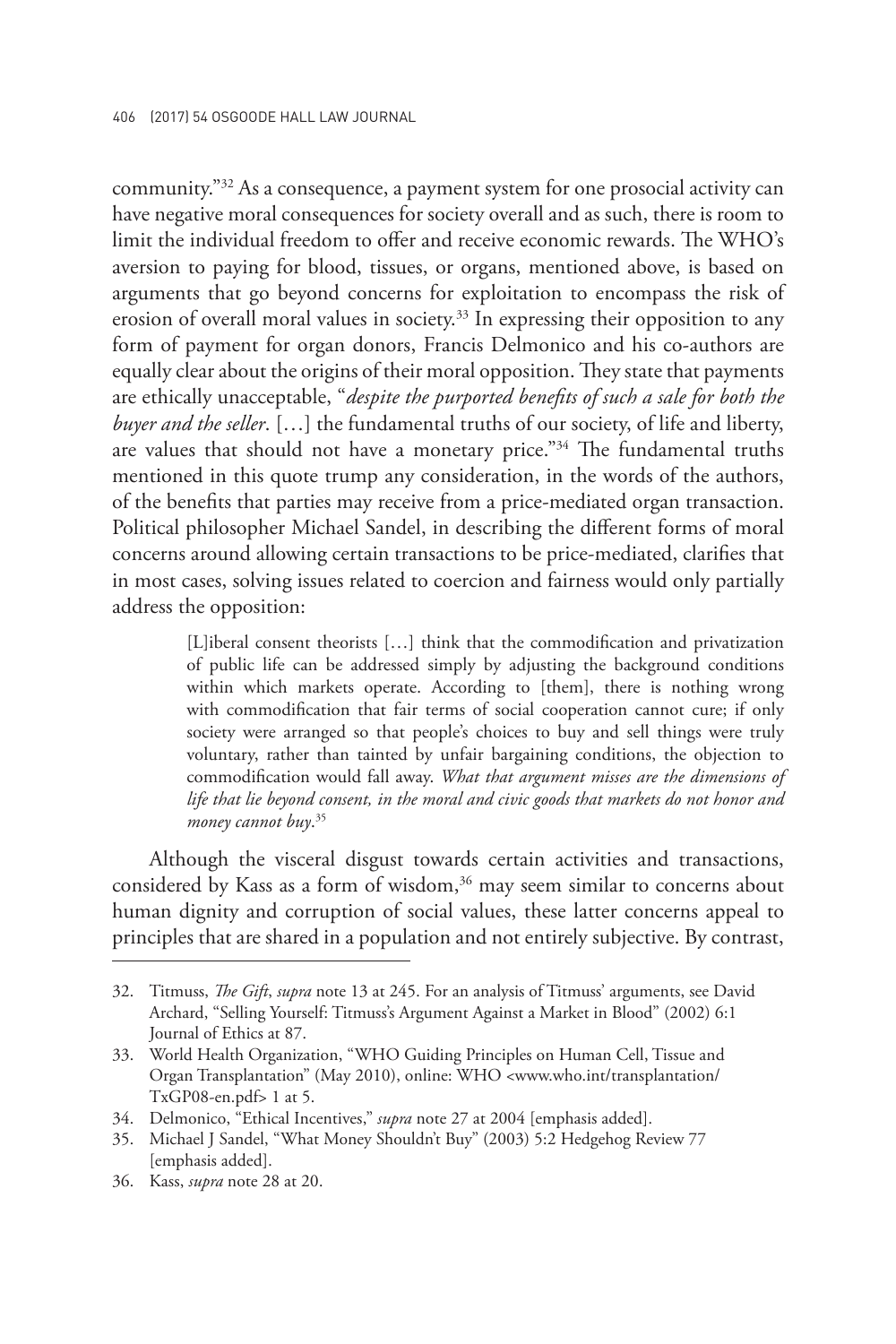community."32 As a consequence, a payment system for one prosocial activity can have negative moral consequences for society overall and as such, there is room to limit the individual freedom to offer and receive economic rewards. The WHO's aversion to paying for blood, tissues, or organs, mentioned above, is based on arguments that go beyond concerns for exploitation to encompass the risk of erosion of overall moral values in society.<sup>33</sup> In expressing their opposition to any form of payment for organ donors, Francis Delmonico and his co-authors are equally clear about the origins of their moral opposition. They state that payments are ethically unacceptable, "*despite the purported benefits of such a sale for both the buyer and the seller*. […] the fundamental truths of our society, of life and liberty, are values that should not have a monetary price."<sup>34</sup> The fundamental truths mentioned in this quote trump any consideration, in the words of the authors, of the benefits that parties may receive from a price-mediated organ transaction. Political philosopher Michael Sandel, in describing the different forms of moral concerns around allowing certain transactions to be price-mediated, clarifies that in most cases, solving issues related to coercion and fairness would only partially address the opposition:

> [L]iberal consent theorists […] think that the commodification and privatization of public life can be addressed simply by adjusting the background conditions within which markets operate. According to [them], there is nothing wrong with commodification that fair terms of social cooperation cannot cure; if only society were arranged so that people's choices to buy and sell things were truly voluntary, rather than tainted by unfair bargaining conditions, the objection to commodification would fall away. *What that argument misses are the dimensions of life that lie beyond consent, in the moral and civic goods that markets do not honor and money cannot buy*. 35

Although the visceral disgust towards certain activities and transactions, considered by Kass as a form of wisdom, $36$  may seem similar to concerns about human dignity and corruption of social values, these latter concerns appeal to principles that are shared in a population and not entirely subjective. By contrast,

<sup>32.</sup> Titmuss, *The Gift*, *supra* note 13 at 245. For an analysis of Titmuss' arguments, see David Archard, "Selling Yourself: Titmuss's Argument Against a Market in Blood" (2002) 6:1 Journal of Ethics at 87.

<sup>33.</sup> World Health Organization, "WHO Guiding Principles on Human Cell, Tissue and Organ Transplantation" (May 2010), online: WHO <www.who.int/transplantation/ TxGP08-en.pdf> 1 at 5.

<sup>34.</sup> Delmonico, "Ethical Incentives," *supra* note 27 at 2004 [emphasis added].

<sup>35.</sup> Michael J Sandel, "What Money Shouldn't Buy" (2003) 5:2 Hedgehog Review 77 [emphasis added].

<sup>36.</sup> Kass, *supra* note 28 at 20.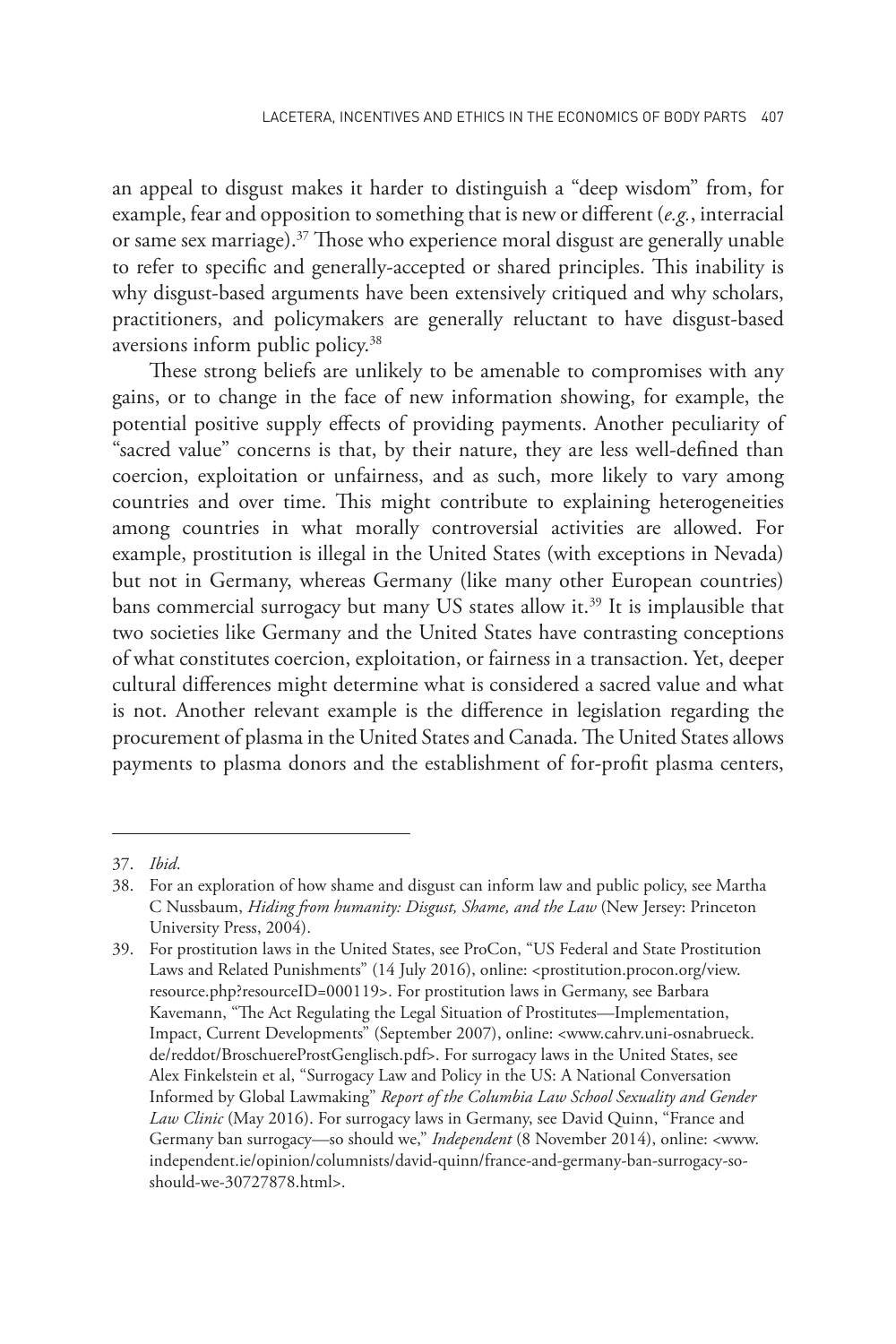an appeal to disgust makes it harder to distinguish a "deep wisdom" from, for example, fear and opposition to something that is new or different (*e.g.*, interracial or same sex marriage).<sup>37</sup> Those who experience moral disgust are generally unable to refer to specific and generally-accepted or shared principles. This inability is why disgust-based arguments have been extensively critiqued and why scholars, practitioners, and policymakers are generally reluctant to have disgust-based aversions inform public policy.38

These strong beliefs are unlikely to be amenable to compromises with any gains, or to change in the face of new information showing, for example, the potential positive supply effects of providing payments. Another peculiarity of "sacred value" concerns is that, by their nature, they are less well-defined than coercion, exploitation or unfairness, and as such, more likely to vary among countries and over time. This might contribute to explaining heterogeneities among countries in what morally controversial activities are allowed. For example, prostitution is illegal in the United States (with exceptions in Nevada) but not in Germany, whereas Germany (like many other European countries) bans commercial surrogacy but many US states allow it.<sup>39</sup> It is implausible that two societies like Germany and the United States have contrasting conceptions of what constitutes coercion, exploitation, or fairness in a transaction. Yet, deeper cultural differences might determine what is considered a sacred value and what is not. Another relevant example is the difference in legislation regarding the procurement of plasma in the United States and Canada. The United States allows payments to plasma donors and the establishment of for-profit plasma centers,

<sup>37.</sup> *Ibid*.

<sup>38.</sup> For an exploration of how shame and disgust can inform law and public policy, see Martha C Nussbaum, *Hiding from humanity: Disgust, Shame, and the Law* (New Jersey: Princeton University Press, 2004).

<sup>39.</sup> For prostitution laws in the United States, see ProCon, "US Federal and State Prostitution Laws and Related Punishments" (14 July 2016), online: <prostitution.procon.org/view. resource.php?resourceID=000119>. For prostitution laws in Germany, see Barbara Kavemann, "The Act Regulating the Legal Situation of Prostitutes—Implementation, Impact, Current Developments" (September 2007), online: <www.cahrv.uni-osnabrueck. de/reddot/BroschuereProstGenglisch.pdf>. For surrogacy laws in the United States, see Alex Finkelstein et al, "Surrogacy Law and Policy in the US: A National Conversation Informed by Global Lawmaking" *Report of the Columbia Law School Sexuality and Gender Law Clinic* (May 2016). For surrogacy laws in Germany, see David Quinn, "France and Germany ban surrogacy—so should we," *Independent* (8 November 2014), online: <www. independent.ie/opinion/columnists/david-quinn/france-and-germany-ban-surrogacy-soshould-we-30727878.html>.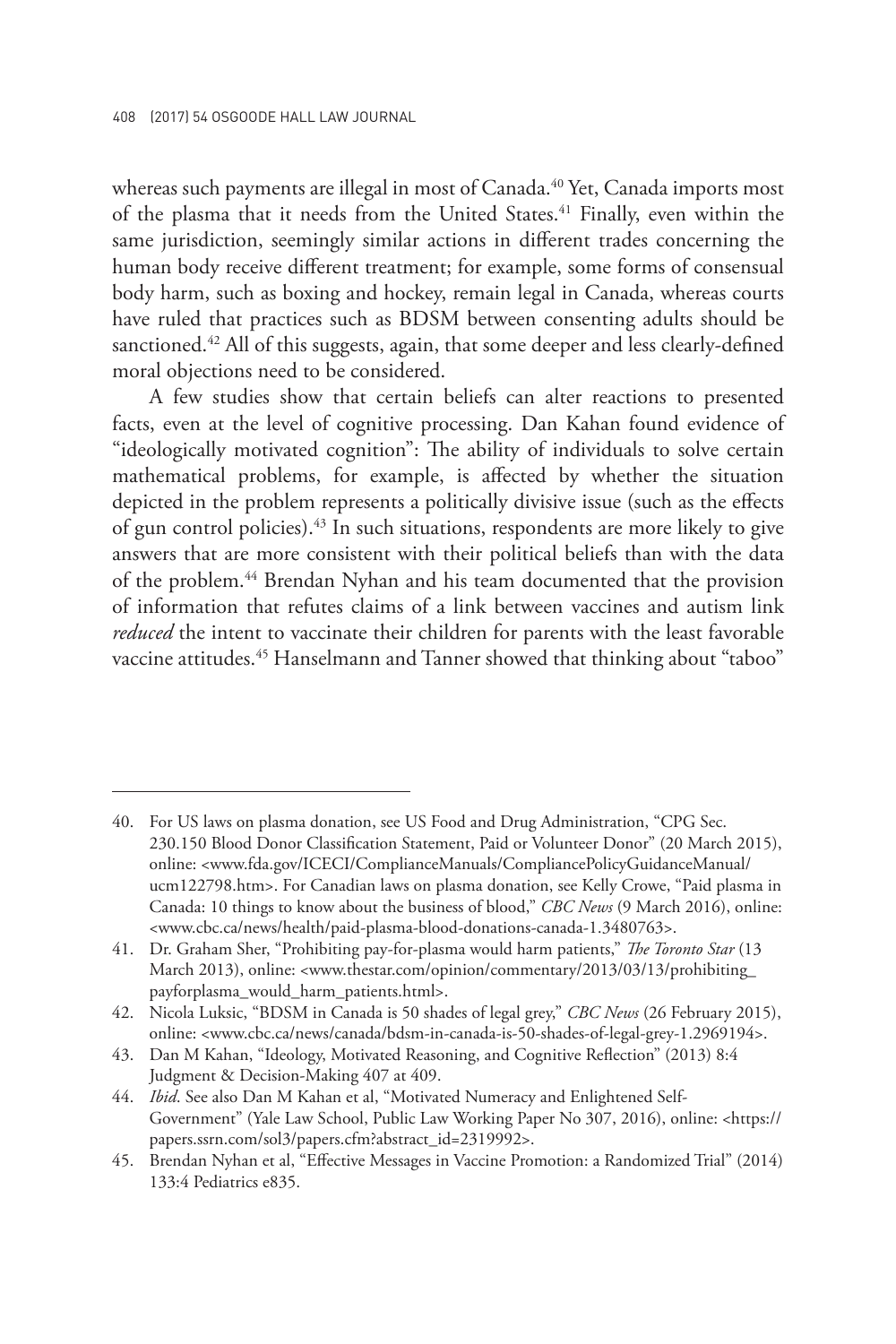whereas such payments are illegal in most of Canada. $40$  Yet, Canada imports most of the plasma that it needs from the United States.<sup>41</sup> Finally, even within the same jurisdiction, seemingly similar actions in different trades concerning the human body receive different treatment; for example, some forms of consensual body harm, such as boxing and hockey, remain legal in Canada, whereas courts have ruled that practices such as BDSM between consenting adults should be sanctioned.<sup>42</sup> All of this suggests, again, that some deeper and less clearly-defined moral objections need to be considered.

A few studies show that certain beliefs can alter reactions to presented facts, even at the level of cognitive processing. Dan Kahan found evidence of "ideologically motivated cognition": The ability of individuals to solve certain mathematical problems, for example, is affected by whether the situation depicted in the problem represents a politically divisive issue (such as the effects of gun control policies).43 In such situations, respondents are more likely to give answers that are more consistent with their political beliefs than with the data of the problem.<sup>44</sup> Brendan Nyhan and his team documented that the provision of information that refutes claims of a link between vaccines and autism link *reduced* the intent to vaccinate their children for parents with the least favorable vaccine attitudes.<sup>45</sup> Hanselmann and Tanner showed that thinking about "taboo"

<sup>40.</sup> For US laws on plasma donation, see US Food and Drug Administration, "CPG Sec. 230.150 Blood Donor Classification Statement, Paid or Volunteer Donor" (20 March 2015), online: <www.fda.gov/ICECI/ComplianceManuals/CompliancePolicyGuidanceManual/ ucm122798.htm>. For Canadian laws on plasma donation, see Kelly Crowe, "Paid plasma in Canada: 10 things to know about the business of blood," *CBC News* (9 March 2016), online: <www.cbc.ca/news/health/paid-plasma-blood-donations-canada-1.3480763>.

<sup>41.</sup> Dr. Graham Sher, "Prohibiting pay-for-plasma would harm patients," *The Toronto Star* (13 March 2013), online: <www.thestar.com/opinion/commentary/2013/03/13/prohibiting\_ payforplasma\_would\_harm\_patients.html>.

<sup>42.</sup> Nicola Luksic, "BDSM in Canada is 50 shades of legal grey," *CBC News* (26 February 2015), online: <www.cbc.ca/news/canada/bdsm-in-canada-is-50-shades-of-legal-grey-1.2969194>.

<sup>43.</sup> Dan M Kahan, "Ideology, Motivated Reasoning, and Cognitive Reflection" (2013) 8:4 Judgment & Decision-Making 407 at 409.

<sup>44.</sup> *Ibid*. See also Dan M Kahan et al, "Motivated Numeracy and Enlightened Self-Government" (Yale Law School, Public Law Working Paper No 307, 2016), online: <https:// papers.ssrn.com/sol3/papers.cfm?abstract\_id=2319992>.

<sup>45.</sup> Brendan Nyhan et al, "Effective Messages in Vaccine Promotion: a Randomized Trial" (2014) 133:4 Pediatrics e835.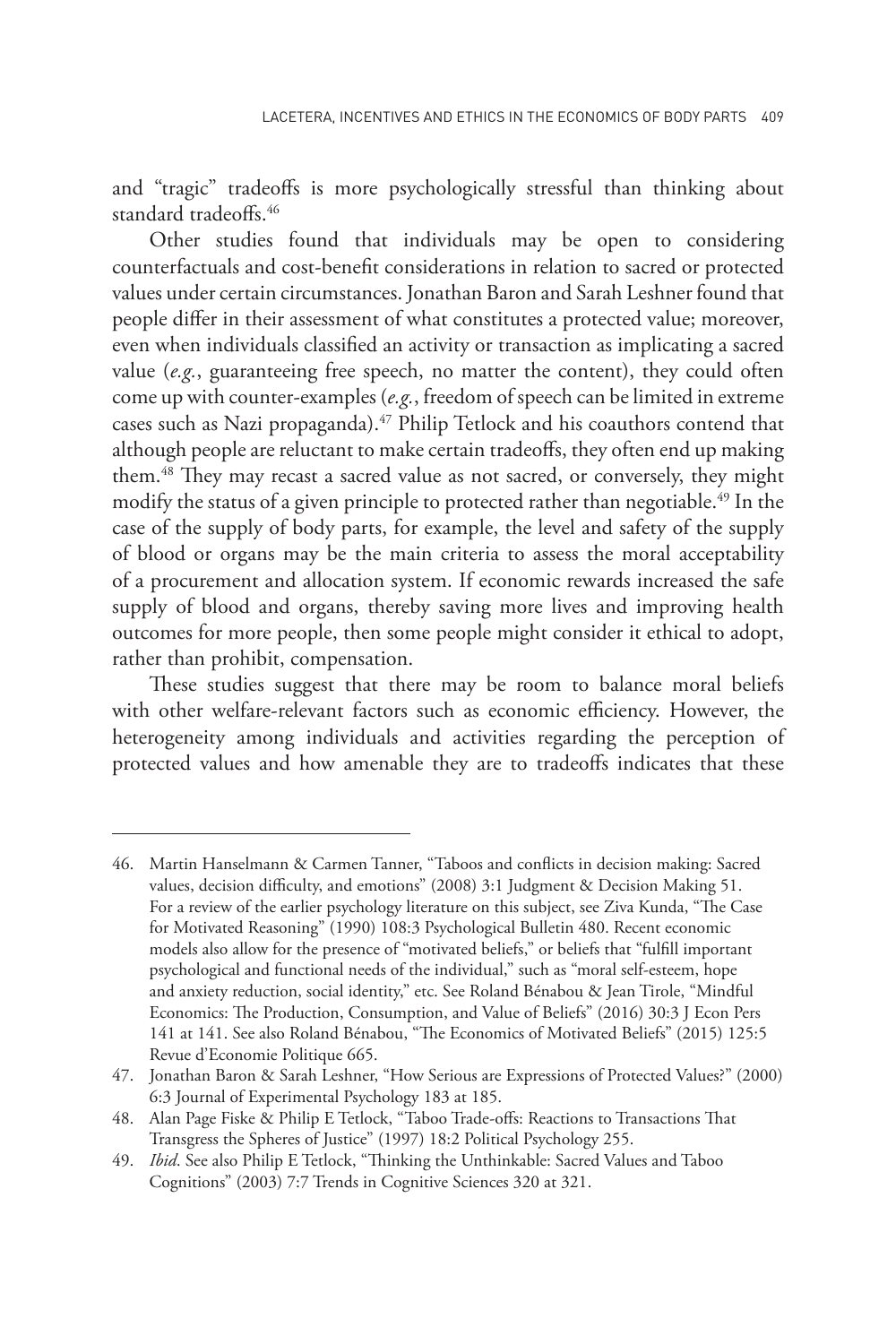and "tragic" tradeoffs is more psychologically stressful than thinking about standard tradeoffs.<sup>46</sup>

Other studies found that individuals may be open to considering counterfactuals and cost-benefit considerations in relation to sacred or protected values under certain circumstances. Jonathan Baron and Sarah Leshner found that people differ in their assessment of what constitutes a protected value; moreover, even when individuals classified an activity or transaction as implicating a sacred value (*e.g.*, guaranteeing free speech, no matter the content), they could often come up with counter-examples (*e.g.*, freedom of speech can be limited in extreme cases such as Nazi propaganda).<sup>47</sup> Philip Tetlock and his coauthors contend that although people are reluctant to make certain tradeoffs, they often end up making them.48 They may recast a sacred value as not sacred, or conversely, they might modify the status of a given principle to protected rather than negotiable.<sup>49</sup> In the case of the supply of body parts, for example, the level and safety of the supply of blood or organs may be the main criteria to assess the moral acceptability of a procurement and allocation system. If economic rewards increased the safe supply of blood and organs, thereby saving more lives and improving health outcomes for more people, then some people might consider it ethical to adopt, rather than prohibit, compensation.

These studies suggest that there may be room to balance moral beliefs with other welfare-relevant factors such as economic efficiency. However, the heterogeneity among individuals and activities regarding the perception of protected values and how amenable they are to tradeoffs indicates that these

<sup>46.</sup> Martin Hanselmann & Carmen Tanner, "Taboos and conflicts in decision making: Sacred values, decision difficulty, and emotions" (2008) 3:1 Judgment & Decision Making 51. For a review of the earlier psychology literature on this subject, see Ziva Kunda, "The Case for Motivated Reasoning" (1990) 108:3 Psychological Bulletin 480. Recent economic models also allow for the presence of "motivated beliefs," or beliefs that "fulfill important psychological and functional needs of the individual," such as "moral self-esteem, hope and anxiety reduction, social identity," etc. See Roland Bénabou & Jean Tirole, "Mindful Economics: The Production, Consumption, and Value of Beliefs" (2016) 30:3 J Econ Pers 141 at 141. See also Roland Bénabou, "The Economics of Motivated Beliefs" (2015) 125:5 Revue d'Economie Politique 665.

<sup>47.</sup> Jonathan Baron & Sarah Leshner, "How Serious are Expressions of Protected Values?" (2000) 6:3 Journal of Experimental Psychology 183 at 185.

<sup>48.</sup> Alan Page Fiske & Philip E Tetlock, "Taboo Trade‐offs: Reactions to Transactions That Transgress the Spheres of Justice" (1997) 18:2 Political Psychology 255.

<sup>49.</sup> *Ibid*. See also Philip E Tetlock, "Thinking the Unthinkable: Sacred Values and Taboo Cognitions" (2003) 7:7 Trends in Cognitive Sciences 320 at 321.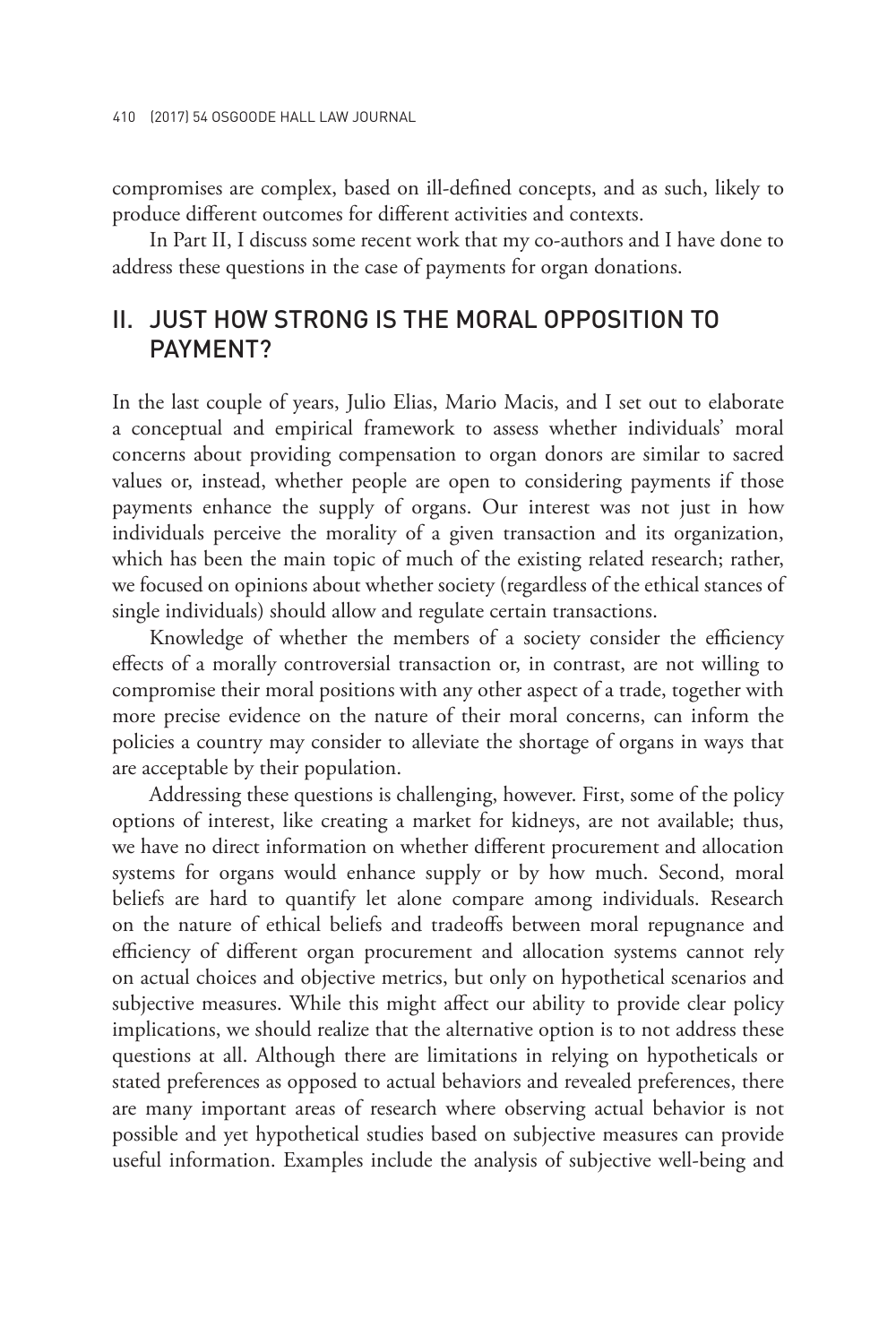compromises are complex, based on ill-defined concepts, and as such, likely to produce different outcomes for different activities and contexts.

In Part II, I discuss some recent work that my co-authors and I have done to address these questions in the case of payments for organ donations.

#### II. JUST HOW STRONG IS THE MORAL OPPOSITION TO PAYMENT?

In the last couple of years, Julio Elias, Mario Macis, and I set out to elaborate a conceptual and empirical framework to assess whether individuals' moral concerns about providing compensation to organ donors are similar to sacred values or, instead, whether people are open to considering payments if those payments enhance the supply of organs. Our interest was not just in how individuals perceive the morality of a given transaction and its organization, which has been the main topic of much of the existing related research; rather, we focused on opinions about whether society (regardless of the ethical stances of single individuals) should allow and regulate certain transactions.

Knowledge of whether the members of a society consider the efficiency effects of a morally controversial transaction or, in contrast, are not willing to compromise their moral positions with any other aspect of a trade, together with more precise evidence on the nature of their moral concerns, can inform the policies a country may consider to alleviate the shortage of organs in ways that are acceptable by their population.

Addressing these questions is challenging, however. First, some of the policy options of interest, like creating a market for kidneys, are not available; thus, we have no direct information on whether different procurement and allocation systems for organs would enhance supply or by how much. Second, moral beliefs are hard to quantify let alone compare among individuals. Research on the nature of ethical beliefs and tradeoffs between moral repugnance and efficiency of different organ procurement and allocation systems cannot rely on actual choices and objective metrics, but only on hypothetical scenarios and subjective measures. While this might affect our ability to provide clear policy implications, we should realize that the alternative option is to not address these questions at all. Although there are limitations in relying on hypotheticals or stated preferences as opposed to actual behaviors and revealed preferences, there are many important areas of research where observing actual behavior is not possible and yet hypothetical studies based on subjective measures can provide useful information. Examples include the analysis of subjective well-being and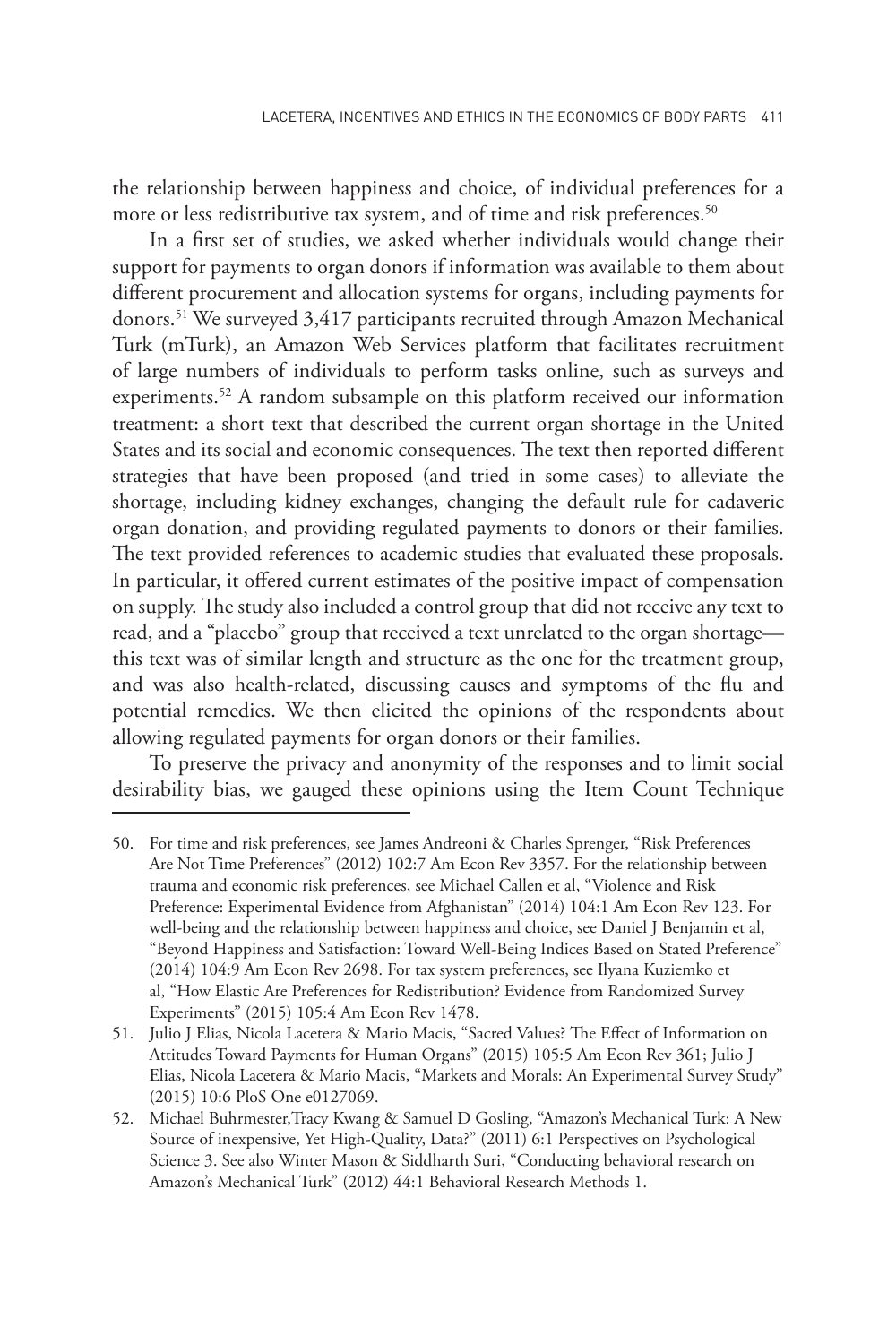the relationship between happiness and choice, of individual preferences for a more or less redistributive tax system, and of time and risk preferences.<sup>50</sup>

In a first set of studies, we asked whether individuals would change their support for payments to organ donors if information was available to them about different procurement and allocation systems for organs, including payments for donors.51 We surveyed 3,417 participants recruited through Amazon Mechanical Turk (mTurk), an Amazon Web Services platform that facilitates recruitment of large numbers of individuals to perform tasks online, such as surveys and experiments.<sup>52</sup> A random subsample on this platform received our information treatment: a short text that described the current organ shortage in the United States and its social and economic consequences. The text then reported different strategies that have been proposed (and tried in some cases) to alleviate the shortage, including kidney exchanges, changing the default rule for cadaveric organ donation, and providing regulated payments to donors or their families. The text provided references to academic studies that evaluated these proposals. In particular, it offered current estimates of the positive impact of compensation on supply. The study also included a control group that did not receive any text to read, and a "placebo" group that received a text unrelated to the organ shortage this text was of similar length and structure as the one for the treatment group, and was also health-related, discussing causes and symptoms of the flu and potential remedies. We then elicited the opinions of the respondents about allowing regulated payments for organ donors or their families.

To preserve the privacy and anonymity of the responses and to limit social desirability bias, we gauged these opinions using the Item Count Technique

<sup>50.</sup> For time and risk preferences, see James Andreoni & Charles Sprenger, "Risk Preferences Are Not Time Preferences" (2012) 102:7 Am Econ Rev 3357. For the relationship between trauma and economic risk preferences, see Michael Callen et al, "Violence and Risk Preference: Experimental Evidence from Afghanistan" (2014) 104:1 Am Econ Rev 123. For well-being and the relationship between happiness and choice, see Daniel J Benjamin et al, "Beyond Happiness and Satisfaction: Toward Well-Being Indices Based on Stated Preference" (2014) 104:9 Am Econ Rev 2698. For tax system preferences, see Ilyana Kuziemko et al, "How Elastic Are Preferences for Redistribution? Evidence from Randomized Survey Experiments" (2015) 105:4 Am Econ Rev 1478.

<sup>51.</sup> Julio J Elias, Nicola Lacetera & Mario Macis, "Sacred Values? The Effect of Information on Attitudes Toward Payments for Human Organs" (2015) 105:5 Am Econ Rev 361; Julio J Elias, Nicola Lacetera & Mario Macis, "Markets and Morals: An Experimental Survey Study" (2015) 10:6 PloS One e0127069.

<sup>52.</sup> Michael Buhrmester,Tracy Kwang & Samuel D Gosling, "Amazon's Mechanical Turk: A New Source of inexpensive, Yet High-Quality, Data?" (2011) 6:1 Perspectives on Psychological Science 3. See also Winter Mason & Siddharth Suri, "Conducting behavioral research on Amazon's Mechanical Turk" (2012) 44:1 Behavioral Research Methods 1.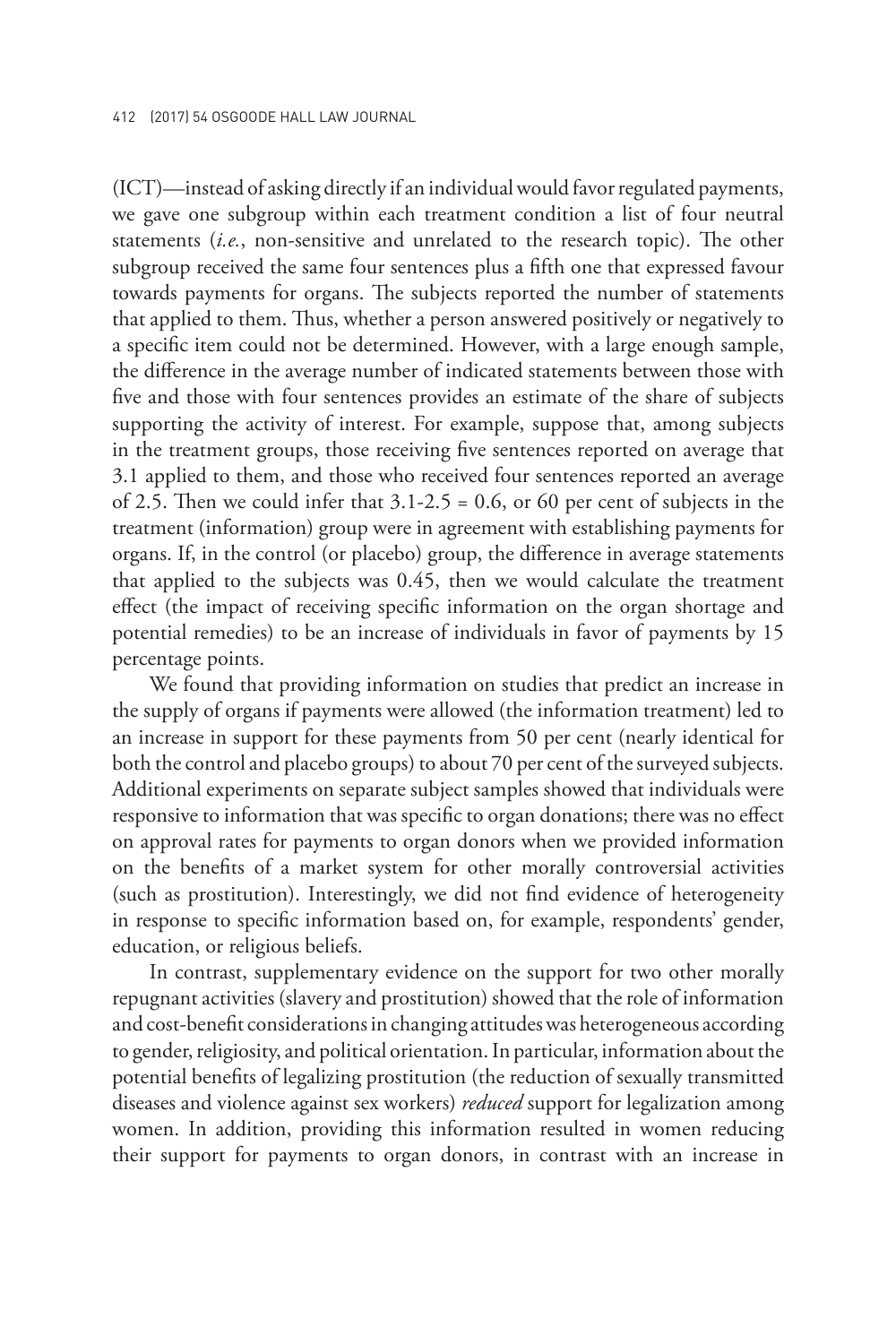(ICT)—instead of asking directly if an individual would favor regulated payments, we gave one subgroup within each treatment condition a list of four neutral statements (*i.e.*, non-sensitive and unrelated to the research topic). The other subgroup received the same four sentences plus a fifth one that expressed favour towards payments for organs. The subjects reported the number of statements that applied to them. Thus, whether a person answered positively or negatively to a specific item could not be determined. However, with a large enough sample, the difference in the average number of indicated statements between those with five and those with four sentences provides an estimate of the share of subjects supporting the activity of interest. For example, suppose that, among subjects in the treatment groups, those receiving five sentences reported on average that 3.1 applied to them, and those who received four sentences reported an average of 2.5. Then we could infer that  $3.1-2.5 = 0.6$ , or 60 per cent of subjects in the treatment (information) group were in agreement with establishing payments for organs. If, in the control (or placebo) group, the difference in average statements that applied to the subjects was 0.45, then we would calculate the treatment effect (the impact of receiving specific information on the organ shortage and potential remedies) to be an increase of individuals in favor of payments by 15 percentage points.

We found that providing information on studies that predict an increase in the supply of organs if payments were allowed (the information treatment) led to an increase in support for these payments from 50 per cent (nearly identical for both the control and placebo groups) to about 70 per cent of the surveyed subjects. Additional experiments on separate subject samples showed that individuals were responsive to information that was specific to organ donations; there was no effect on approval rates for payments to organ donors when we provided information on the benefits of a market system for other morally controversial activities (such as prostitution). Interestingly, we did not find evidence of heterogeneity in response to specific information based on, for example, respondents' gender, education, or religious beliefs.

In contrast, supplementary evidence on the support for two other morally repugnant activities (slavery and prostitution) showed that the role of information and cost-benefit considerations in changing attitudes was heterogeneous according to gender, religiosity, and political orientation. In particular, information about the potential benefits of legalizing prostitution (the reduction of sexually transmitted diseases and violence against sex workers) *reduced* support for legalization among women. In addition, providing this information resulted in women reducing their support for payments to organ donors, in contrast with an increase in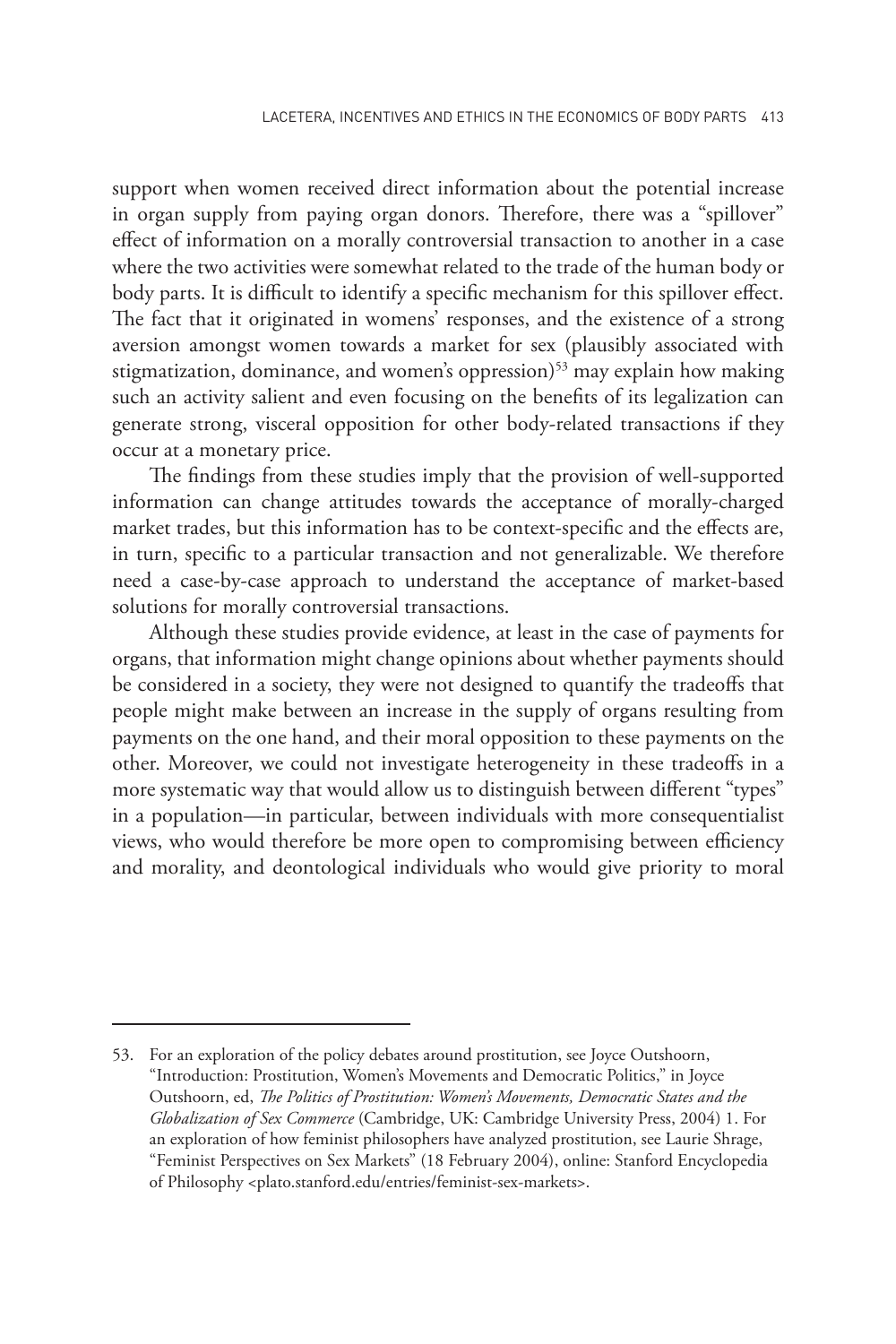support when women received direct information about the potential increase in organ supply from paying organ donors. Therefore, there was a "spillover" effect of information on a morally controversial transaction to another in a case where the two activities were somewhat related to the trade of the human body or body parts. It is difficult to identify a specific mechanism for this spillover effect. The fact that it originated in womens' responses, and the existence of a strong aversion amongst women towards a market for sex (plausibly associated with stigmatization, dominance, and women's oppression)<sup>53</sup> may explain how making such an activity salient and even focusing on the benefits of its legalization can generate strong, visceral opposition for other body-related transactions if they occur at a monetary price.

The findings from these studies imply that the provision of well-supported information can change attitudes towards the acceptance of morally-charged market trades, but this information has to be context-specific and the effects are, in turn, specific to a particular transaction and not generalizable. We therefore need a case-by-case approach to understand the acceptance of market-based solutions for morally controversial transactions.

Although these studies provide evidence, at least in the case of payments for organs, that information might change opinions about whether payments should be considered in a society, they were not designed to quantify the tradeoffs that people might make between an increase in the supply of organs resulting from payments on the one hand, and their moral opposition to these payments on the other. Moreover, we could not investigate heterogeneity in these tradeoffs in a more systematic way that would allow us to distinguish between different "types" in a population—in particular, between individuals with more consequentialist views, who would therefore be more open to compromising between efficiency and morality, and deontological individuals who would give priority to moral

<sup>53.</sup> For an exploration of the policy debates around prostitution, see Joyce Outshoorn, "Introduction: Prostitution, Women's Movements and Democratic Politics," in Joyce Outshoorn, ed, *The Politics of Prostitution: Women's Movements, Democratic States and the Globalization of Sex Commerce* (Cambridge, UK: Cambridge University Press, 2004) 1. For an exploration of how feminist philosophers have analyzed prostitution, see Laurie Shrage, "Feminist Perspectives on Sex Markets" (18 February 2004), online: Stanford Encyclopedia of Philosophy <plato.stanford.edu/entries/feminist-sex-markets>.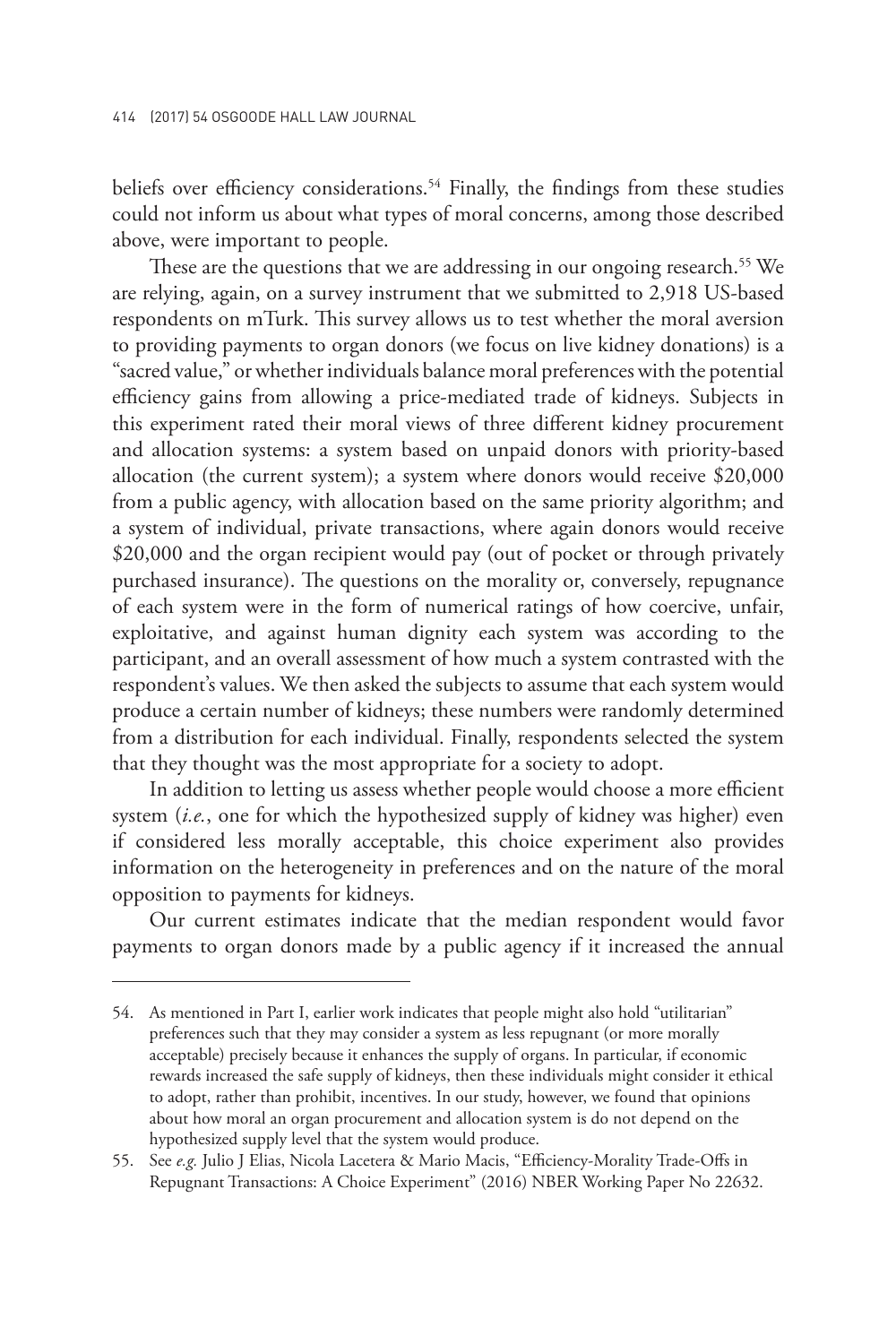beliefs over efficiency considerations.<sup>54</sup> Finally, the findings from these studies could not inform us about what types of moral concerns, among those described above, were important to people.

These are the questions that we are addressing in our ongoing research.<sup>55</sup> We are relying, again, on a survey instrument that we submitted to 2,918 US-based respondents on mTurk. This survey allows us to test whether the moral aversion to providing payments to organ donors (we focus on live kidney donations) is a "sacred value," or whether individuals balance moral preferences with the potential efficiency gains from allowing a price-mediated trade of kidneys. Subjects in this experiment rated their moral views of three different kidney procurement and allocation systems: a system based on unpaid donors with priority-based allocation (the current system); a system where donors would receive \$20,000 from a public agency, with allocation based on the same priority algorithm; and a system of individual, private transactions, where again donors would receive \$20,000 and the organ recipient would pay (out of pocket or through privately purchased insurance). The questions on the morality or, conversely, repugnance of each system were in the form of numerical ratings of how coercive, unfair, exploitative, and against human dignity each system was according to the participant, and an overall assessment of how much a system contrasted with the respondent's values. We then asked the subjects to assume that each system would produce a certain number of kidneys; these numbers were randomly determined from a distribution for each individual. Finally, respondents selected the system that they thought was the most appropriate for a society to adopt.

In addition to letting us assess whether people would choose a more efficient system (*i.e.*, one for which the hypothesized supply of kidney was higher) even if considered less morally acceptable, this choice experiment also provides information on the heterogeneity in preferences and on the nature of the moral opposition to payments for kidneys.

Our current estimates indicate that the median respondent would favor payments to organ donors made by a public agency if it increased the annual

<sup>54.</sup> As mentioned in Part I, earlier work indicates that people might also hold "utilitarian" preferences such that they may consider a system as less repugnant (or more morally acceptable) precisely because it enhances the supply of organs. In particular, if economic rewards increased the safe supply of kidneys, then these individuals might consider it ethical to adopt, rather than prohibit, incentives. In our study, however, we found that opinions about how moral an organ procurement and allocation system is do not depend on the hypothesized supply level that the system would produce.

<sup>55.</sup> See *e.g.* Julio J Elias, Nicola Lacetera & Mario Macis, "Efficiency-Morality Trade-Offs in Repugnant Transactions: A Choice Experiment" (2016) NBER Working Paper No 22632.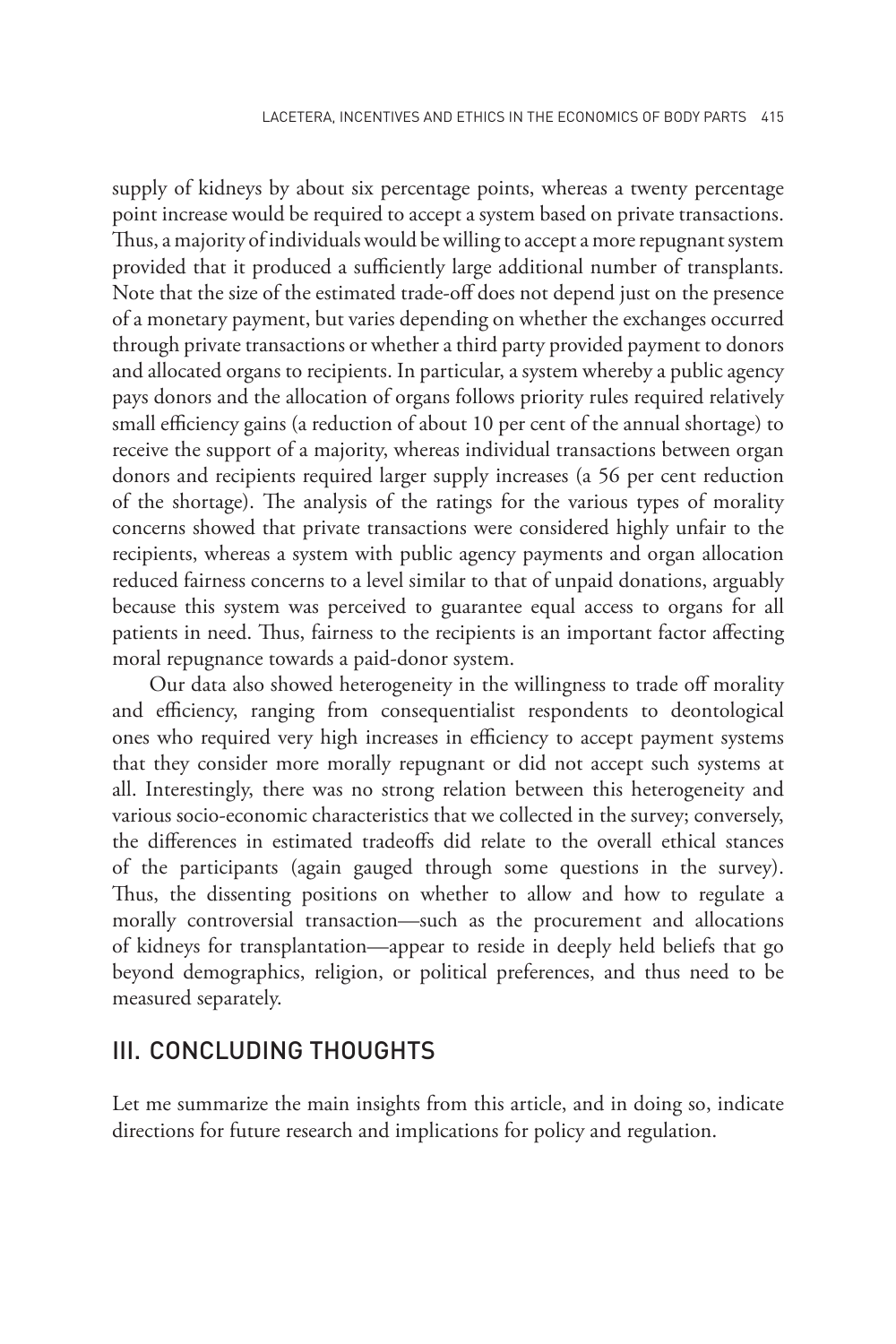supply of kidneys by about six percentage points, whereas a twenty percentage point increase would be required to accept a system based on private transactions. Thus, a majority of individuals would be willing to accept a more repugnant system provided that it produced a sufficiently large additional number of transplants. Note that the size of the estimated trade-off does not depend just on the presence of a monetary payment, but varies depending on whether the exchanges occurred through private transactions or whether a third party provided payment to donors and allocated organs to recipients. In particular, a system whereby a public agency pays donors and the allocation of organs follows priority rules required relatively small efficiency gains (a reduction of about 10 per cent of the annual shortage) to receive the support of a majority, whereas individual transactions between organ donors and recipients required larger supply increases (a 56 per cent reduction of the shortage). The analysis of the ratings for the various types of morality concerns showed that private transactions were considered highly unfair to the recipients, whereas a system with public agency payments and organ allocation reduced fairness concerns to a level similar to that of unpaid donations, arguably because this system was perceived to guarantee equal access to organs for all patients in need. Thus, fairness to the recipients is an important factor affecting moral repugnance towards a paid-donor system.

Our data also showed heterogeneity in the willingness to trade off morality and efficiency, ranging from consequentialist respondents to deontological ones who required very high increases in efficiency to accept payment systems that they consider more morally repugnant or did not accept such systems at all. Interestingly, there was no strong relation between this heterogeneity and various socio-economic characteristics that we collected in the survey; conversely, the differences in estimated tradeoffs did relate to the overall ethical stances of the participants (again gauged through some questions in the survey). Thus, the dissenting positions on whether to allow and how to regulate a morally controversial transaction—such as the procurement and allocations of kidneys for transplantation—appear to reside in deeply held beliefs that go beyond demographics, religion, or political preferences, and thus need to be measured separately.

#### III. CONCLUDING THOUGHTS

Let me summarize the main insights from this article, and in doing so, indicate directions for future research and implications for policy and regulation.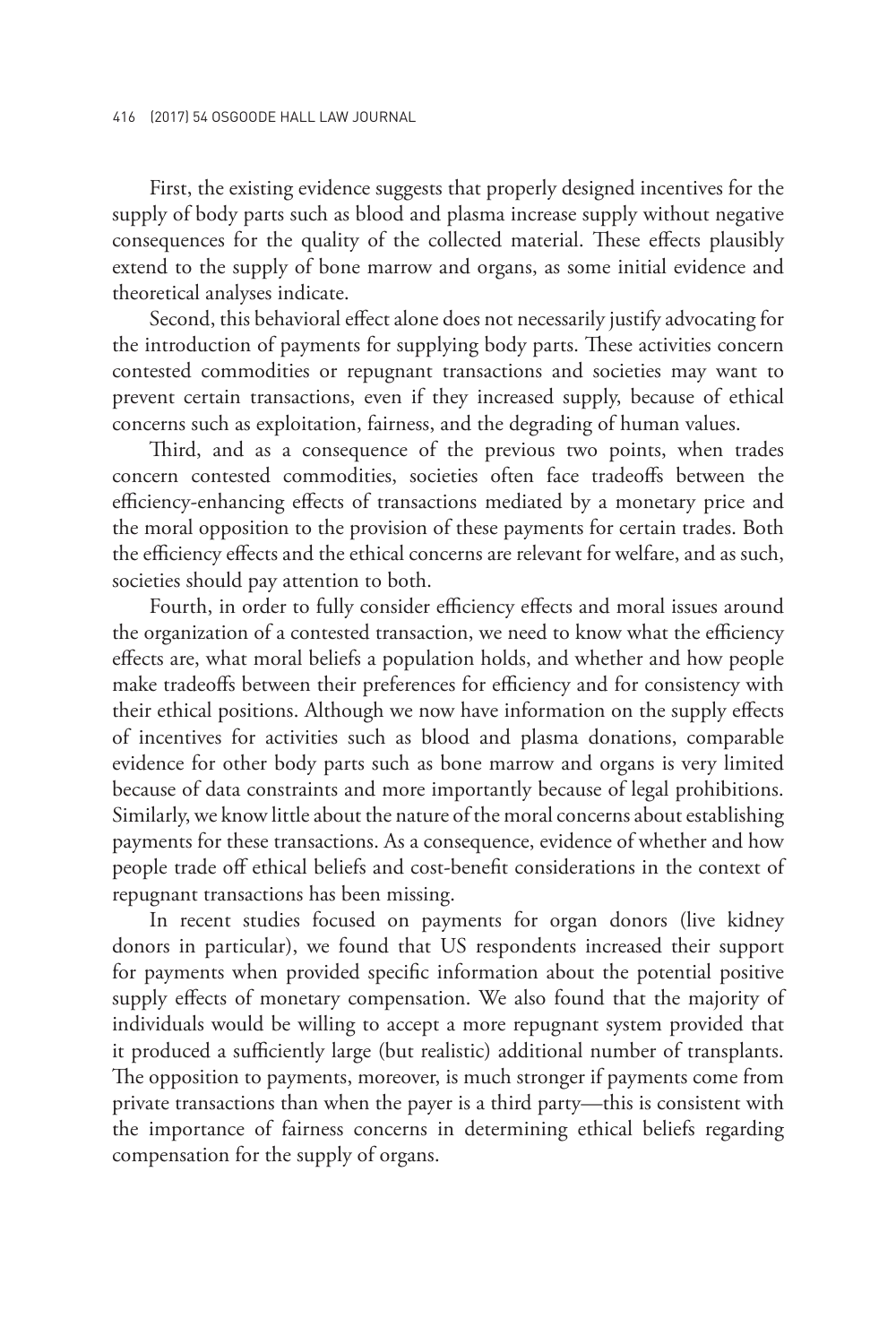First, the existing evidence suggests that properly designed incentives for the supply of body parts such as blood and plasma increase supply without negative consequences for the quality of the collected material. These effects plausibly extend to the supply of bone marrow and organs, as some initial evidence and theoretical analyses indicate.

Second, this behavioral effect alone does not necessarily justify advocating for the introduction of payments for supplying body parts. These activities concern contested commodities or repugnant transactions and societies may want to prevent certain transactions, even if they increased supply, because of ethical concerns such as exploitation, fairness, and the degrading of human values.

Third, and as a consequence of the previous two points, when trades concern contested commodities, societies often face tradeoffs between the efficiency-enhancing effects of transactions mediated by a monetary price and the moral opposition to the provision of these payments for certain trades. Both the efficiency effects and the ethical concerns are relevant for welfare, and as such, societies should pay attention to both.

Fourth, in order to fully consider efficiency effects and moral issues around the organization of a contested transaction, we need to know what the efficiency effects are, what moral beliefs a population holds, and whether and how people make tradeoffs between their preferences for efficiency and for consistency with their ethical positions. Although we now have information on the supply effects of incentives for activities such as blood and plasma donations, comparable evidence for other body parts such as bone marrow and organs is very limited because of data constraints and more importantly because of legal prohibitions. Similarly, we know little about the nature of the moral concerns about establishing payments for these transactions. As a consequence, evidence of whether and how people trade off ethical beliefs and cost-benefit considerations in the context of repugnant transactions has been missing.

In recent studies focused on payments for organ donors (live kidney donors in particular), we found that US respondents increased their support for payments when provided specific information about the potential positive supply effects of monetary compensation. We also found that the majority of individuals would be willing to accept a more repugnant system provided that it produced a sufficiently large (but realistic) additional number of transplants. The opposition to payments, moreover, is much stronger if payments come from private transactions than when the payer is a third party—this is consistent with the importance of fairness concerns in determining ethical beliefs regarding compensation for the supply of organs.